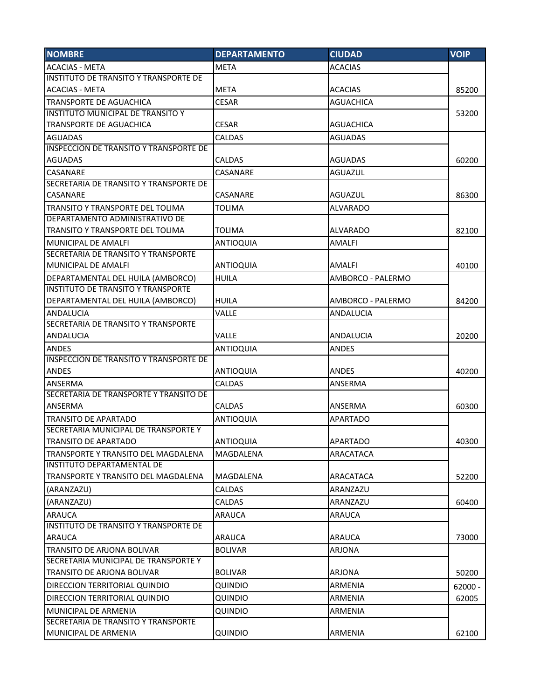| <b>NOMBRE</b>                                 | <b>DEPARTAMENTO</b> | <b>CIUDAD</b>     | <b>VOIP</b> |
|-----------------------------------------------|---------------------|-------------------|-------------|
| <b>ACACIAS - META</b>                         | <b>META</b>         | <b>ACACIAS</b>    |             |
| INSTITUTO DE TRANSITO Y TRANSPORTE DE         |                     |                   |             |
| <b>ACACIAS - META</b>                         | <b>META</b>         | <b>ACACIAS</b>    | 85200       |
| <b>TRANSPORTE DE AGUACHICA</b>                | <b>CESAR</b>        | <b>AGUACHICA</b>  |             |
| <b>INSTITUTO MUNICIPAL DE TRANSITO Y</b>      |                     |                   | 53200       |
| <b>TRANSPORTE DE AGUACHICA</b>                | <b>CESAR</b>        | <b>AGUACHICA</b>  |             |
| <b>AGUADAS</b>                                | <b>CALDAS</b>       | <b>AGUADAS</b>    |             |
| <b>INSPECCION DE TRANSITO Y TRANSPORTE DE</b> |                     |                   |             |
| <b>AGUADAS</b>                                | <b>CALDAS</b>       | <b>AGUADAS</b>    | 60200       |
| <b>CASANARE</b>                               | CASANARE            | AGUAZUL           |             |
| SECRETARIA DE TRANSITO Y TRANSPORTE DE        |                     |                   |             |
| <b>CASANARE</b>                               | CASANARE            | AGUAZUL           | 86300       |
| <b>TRANSITO Y TRANSPORTE DEL TOLIMA</b>       | <b>TOLIMA</b>       | <b>ALVARADO</b>   |             |
| DEPARTAMENTO ADMINISTRATIVO DE                |                     |                   |             |
| TRANSITO Y TRANSPORTE DEL TOLIMA              | <b>TOLIMA</b>       | <b>ALVARADO</b>   | 82100       |
| <b>MUNICIPAL DE AMALFI</b>                    | <b>ANTIOQUIA</b>    | <b>AMALFI</b>     |             |
| SECRETARIA DE TRANSITO Y TRANSPORTE           |                     |                   |             |
| <b>MUNICIPAL DE AMALFI</b>                    | <b>ANTIOQUIA</b>    | AMALFI            | 40100       |
| DEPARTAMENTAL DEL HUILA (AMBORCO)             | <b>HUILA</b>        | AMBORCO - PALERMO |             |
| <b>INSTITUTO DE TRANSITO Y TRANSPORTE</b>     |                     |                   |             |
| DEPARTAMENTAL DEL HUILA (AMBORCO)             | <b>HUILA</b>        | AMBORCO - PALERMO | 84200       |
| <b>ANDALUCIA</b>                              | <b>VALLE</b>        | ANDALUCIA         |             |
| SECRETARIA DE TRANSITO Y TRANSPORTE           |                     |                   |             |
| <b>ANDALUCIA</b>                              | VALLE               | ANDALUCIA         | 20200       |
| <b>ANDES</b>                                  | <b>ANTIOQUIA</b>    | <b>ANDES</b>      |             |
| <b>INSPECCION DE TRANSITO Y TRANSPORTE DE</b> |                     |                   |             |
| <b>ANDES</b>                                  | <b>ANTIOQUIA</b>    | ANDES             | 40200       |
| <b>ANSERMA</b>                                | CALDAS              | ANSERMA           |             |
| SECRETARIA DE TRANSPORTE Y TRANSITO DE        |                     |                   |             |
| ANSERMA                                       | CALDAS              | ANSERMA           | 60300       |
| TRANSITO DE APARTADO                          | <b>ANTIOQUIA</b>    | APARTADO          |             |
| SECRETARIA MUNICIPAL DE TRANSPORTE Y          |                     |                   |             |
| TRANSITO DE APARTADO                          | ANTIOQUIA           | APARTADO          | 40300       |
| TRANSPORTE Y TRANSITO DEL MAGDALENA           | MAGDALENA           | ARACATACA         |             |
| <b>INSTITUTO DEPARTAMENTAL DE</b>             |                     |                   |             |
| TRANSPORTE Y TRANSITO DEL MAGDALENA           | MAGDALENA           | ARACATACA         | 52200       |
| (ARANZAZU)                                    | <b>CALDAS</b>       | ARANZAZU          |             |
| (ARANZAZU)                                    | <b>CALDAS</b>       | ARANZAZU          | 60400       |
| <b>ARAUCA</b>                                 | <b>ARAUCA</b>       | <b>ARAUCA</b>     |             |
| <b>INSTITUTO DE TRANSITO Y TRANSPORTE DE</b>  |                     |                   |             |
| ARAUCA                                        | <b>ARAUCA</b>       | <b>ARAUCA</b>     | 73000       |
| TRANSITO DE ARJONA BOLIVAR                    | <b>BOLIVAR</b>      | <b>ARJONA</b>     |             |
| SECRETARIA MUNICIPAL DE TRANSPORTE Y          |                     |                   |             |
| TRANSITO DE ARJONA BOLIVAR                    | <b>BOLIVAR</b>      | <b>ARJONA</b>     | 50200       |
| DIRECCION TERRITORIAL QUINDIO                 | QUINDIO             | ARMENIA           | $62000 -$   |
| DIRECCION TERRITORIAL QUINDIO                 | QUINDIO             | ARMENIA           | 62005       |
| MUNICIPAL DE ARMENIA                          | <b>QUINDIO</b>      | ARMENIA           |             |
| SECRETARIA DE TRANSITO Y TRANSPORTE           |                     |                   |             |
| MUNICIPAL DE ARMENIA                          | QUINDIO             | ARMENIA           | 62100       |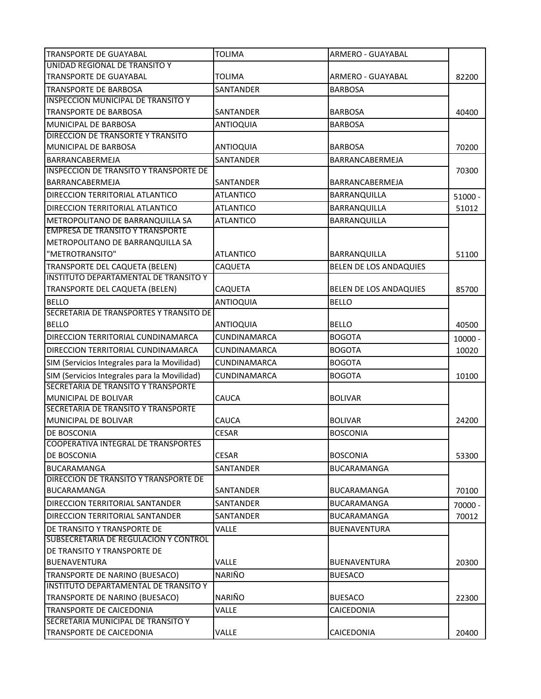| <b>TRANSPORTE DE GUAYABAL</b>                 | <b>TOLIMA</b>       | ARMERO - GUAYABAL      |           |
|-----------------------------------------------|---------------------|------------------------|-----------|
| UNIDAD REGIONAL DE TRANSITO Y                 |                     |                        |           |
| <b>TRANSPORTE DE GUAYABAL</b>                 | TOLIMA              | ARMERO - GUAYABAL      | 82200     |
| <b>TRANSPORTE DE BARBOSA</b>                  | <b>SANTANDER</b>    | <b>BARBOSA</b>         |           |
| <b>INSPECCION MUNICIPAL DE TRANSITO Y</b>     |                     |                        |           |
| <b>TRANSPORTE DE BARBOSA</b>                  | SANTANDER           | <b>BARBOSA</b>         | 40400     |
| <b>MUNICIPAL DE BARBOSA</b>                   | <b>ANTIOQUIA</b>    | <b>BARBOSA</b>         |           |
| DIRECCION DE TRANSORTE Y TRANSITO             |                     |                        |           |
| <b>MUNICIPAL DE BARBOSA</b>                   | <b>ANTIOQUIA</b>    | <b>BARBOSA</b>         | 70200     |
| BARRANCABERMEJA                               | SANTANDER           | BARRANCABERMEJA        |           |
| <b>INSPECCION DE TRANSITO Y TRANSPORTE DE</b> |                     |                        | 70300     |
| BARRANCABERMEJA                               | SANTANDER           | BARRANCABERMEJA        |           |
| DIRECCION TERRITORIAL ATLANTICO               | <b>ATLANTICO</b>    | BARRANQUILLA           | $51000 -$ |
| DIRECCION TERRITORIAL ATLANTICO               | <b>ATLANTICO</b>    | BARRANQUILLA           | 51012     |
| METROPOLITANO DE BARRANQUILLA SA              | <b>ATLANTICO</b>    | BARRANQUILLA           |           |
| <b>EMPRESA DE TRANSITO Y TRANSPORTE</b>       |                     |                        |           |
| METROPOLITANO DE BARRANQUILLA SA              |                     |                        |           |
| "METROTRANSITO"                               | <b>ATLANTICO</b>    | BARRANQUILLA           | 51100     |
| TRANSPORTE DEL CAQUETA (BELEN)                | CAQUETA             | BELEN DE LOS ANDAQUIES |           |
| INSTITUTO DEPARTAMENTAL DE TRANSITO Y         |                     |                        |           |
| TRANSPORTE DEL CAQUETA (BELEN)                | CAQUETA             | BELEN DE LOS ANDAQUIES | 85700     |
| <b>BELLO</b>                                  | ANTIOQUIA           | <b>BELLO</b>           |           |
| SECRETARIA DE TRANSPORTES Y TRANSITO DE       |                     |                        |           |
| <b>BELLO</b>                                  | <b>ANTIOQUIA</b>    | <b>BELLO</b>           | 40500     |
| DIRECCION TERRITORIAL CUNDINAMARCA            | <b>CUNDINAMARCA</b> | <b>BOGOTA</b>          | $10000 -$ |
| DIRECCION TERRITORIAL CUNDINAMARCA            | <b>CUNDINAMARCA</b> | <b>BOGOTA</b>          | 10020     |
| SIM (Servicios Integrales para la Movilidad)  | <b>CUNDINAMARCA</b> | <b>BOGOTA</b>          |           |
| SIM (Servicios Integrales para la Movilidad)  | <b>CUNDINAMARCA</b> | <b>BOGOTA</b>          | 10100     |
| SECRETARIA DE TRANSITO Y TRANSPORTE           |                     |                        |           |
| MUNICIPAL DE BOLIVAR                          | CAUCA               | <b>BOLIVAR</b>         |           |
| SECRETARIA DE TRANSITO Y TRANSPORTE           |                     |                        |           |
| MUNICIPAL DE BOLIVAR                          | CAUCA               | <b>BOLIVAR</b>         | 24200     |
| <b>DE BOSCONIA</b>                            | <b>CESAR</b>        | <b>BOSCONIA</b>        |           |
| COOPERATIVA INTEGRAL DE TRANSPORTES           |                     |                        |           |
| DE BOSCONIA                                   | <b>CESAR</b>        | <b>BOSCONIA</b>        | 53300     |
| <b>BUCARAMANGA</b>                            | <b>SANTANDER</b>    | <b>BUCARAMANGA</b>     |           |
| DIRECCION DE TRANSITO Y TRANSPORTE DE         |                     |                        |           |
| <b>BUCARAMANGA</b>                            | SANTANDER           | <b>BUCARAMANGA</b>     | 70100     |
| DIRECCION TERRITORIAL SANTANDER               | <b>SANTANDER</b>    | <b>BUCARAMANGA</b>     | 70000 -   |
| <b>DIRECCION TERRITORIAL SANTANDER</b>        | SANTANDER           | <b>BUCARAMANGA</b>     | 70012     |
| DE TRANSITO Y TRANSPORTE DE                   | VALLE               | <b>BUENAVENTURA</b>    |           |
| SUBSECRETARIA DE REGULACION Y CONTROL         |                     |                        |           |
| DE TRANSITO Y TRANSPORTE DE                   |                     |                        |           |
| <b>BUENAVENTURA</b>                           | VALLE               | <b>BUENAVENTURA</b>    | 20300     |
| TRANSPORTE DE NARINO (BUESACO)                | <b>NARIÑO</b>       | <b>BUESACO</b>         |           |
| INSTITUTO DEPARTAMENTAL DE TRANSITO Y         |                     |                        |           |
| TRANSPORTE DE NARINO (BUESACO)                | <b>NARIÑO</b>       | <b>BUESACO</b>         | 22300     |
| TRANSPORTE DE CAICEDONIA                      | VALLE               | CAICEDONIA             |           |
| SECRETARIA MUNICIPAL DE TRANSITO Y            |                     |                        |           |
| TRANSPORTE DE CAICEDONIA                      | VALLE               | CAICEDONIA             | 20400     |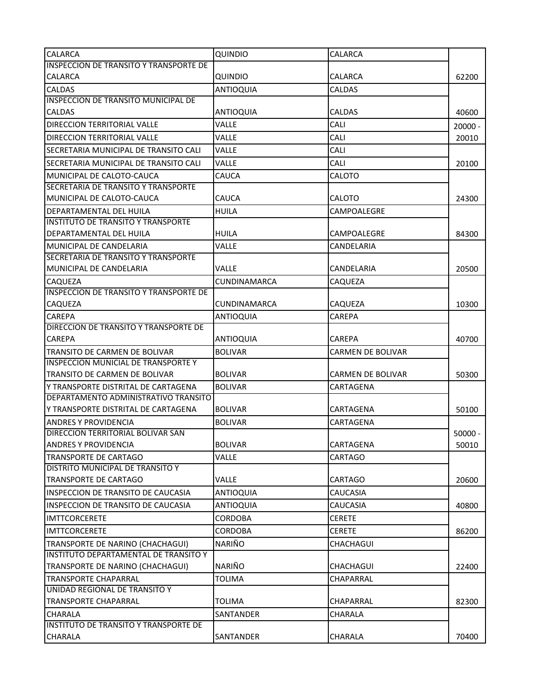| <b>CALARCA</b>                                                            | <b>QUINDIO</b>      | CALARCA                  |                    |
|---------------------------------------------------------------------------|---------------------|--------------------------|--------------------|
| <b>INSPECCION DE TRANSITO Y TRANSPORTE DE</b>                             |                     |                          |                    |
| <b>CALARCA</b>                                                            | QUINDIO             | CALARCA                  | 62200              |
| <b>CALDAS</b>                                                             | <b>ANTIOQUIA</b>    | <b>CALDAS</b>            |                    |
| INSPECCION DE TRANSITO MUNICIPAL DE                                       |                     |                          |                    |
| <b>CALDAS</b>                                                             | <b>ANTIOQUIA</b>    | <b>CALDAS</b>            | 40600              |
| <b>DIRECCION TERRITORIAL VALLE</b>                                        | VALLE               | CALI                     | $20000 -$          |
| <b>DIRECCION TERRITORIAL VALLE</b>                                        | VALLE               | CALI                     | 20010              |
| SECRETARIA MUNICIPAL DE TRANSITO CALI                                     | <b>VALLE</b>        | CALI                     |                    |
| ISECRETARIA MUNICIPAL DE TRANSITO CALI                                    | Valle               | CALI                     | 20100              |
| MUNICIPAL DE CALOTO-CAUCA                                                 | CAUCA               | CALOTO                   |                    |
| <b>SECRETARIA DE TRANSITO Y TRANSPORTE</b>                                |                     |                          |                    |
| MUNICIPAL DE CALOTO-CAUCA                                                 | CAUCA               | CALOTO                   | 24300              |
| DEPARTAMENTAL DEL HUILA                                                   | <b>HUILA</b>        | CAMPOALEGRE              |                    |
| <b>INSTITUTO DE TRANSITO Y TRANSPORTE</b>                                 |                     |                          |                    |
| DEPARTAMENTAL DEL HUILA                                                   | <b>HUILA</b>        | CAMPOALEGRE              | 84300              |
| MUNICIPAL DE CANDELARIA                                                   | Valle               | CANDELARIA               |                    |
| SECRETARIA DE TRANSITO Y TRANSPORTE                                       |                     |                          |                    |
| MUNICIPAL DE CANDELARIA                                                   | Valle               | CANDELARIA               | 20500              |
| <b>CAQUEZA</b>                                                            | <b>CUNDINAMARCA</b> | CAQUEZA                  |                    |
| <b>INSPECCION DE TRANSITO Y TRANSPORTE DE</b>                             |                     |                          |                    |
| <b>CAQUEZA</b>                                                            | CUNDINAMARCA        | CAQUEZA                  | 10300              |
| <b>CAREPA</b>                                                             | <b>ANTIOQUIA</b>    | CAREPA                   |                    |
| <b>DIRECCION DE TRANSITO Y TRANSPORTE DE</b>                              |                     |                          |                    |
| <b>CAREPA</b>                                                             | <b>ANTIOQUIA</b>    | CAREPA                   | 40700              |
| TRANSITO DE CARMEN DE BOLIVAR                                             | <b>BOLIVAR</b>      | <b>CARMEN DE BOLIVAR</b> |                    |
| <b>INSPECCION MUNICIAL DE TRANSPORTE Y</b>                                |                     |                          |                    |
| TRANSITO DE CARMEN DE BOLIVAR                                             | <b>BOLIVAR</b>      | <b>CARMEN DE BOLIVAR</b> | 50300              |
| Y TRANSPORTE DISTRITAL DE CARTAGENA                                       | <b>BOLIVAR</b>      | CARTAGENA                |                    |
| DEPARTAMENTO ADMINISTRATIVO TRANSITO                                      |                     |                          |                    |
| Y TRANSPORTE DISTRITAL DE CARTAGENA                                       | <b>BOLIVAR</b>      | CARTAGENA                | 50100              |
| <b>ANDRES Y PROVIDENCIA</b>                                               | <b>BOLIVAR</b>      | CARTAGENA                |                    |
| DIRECCION TERRITORIAL BOLIVAR SAN<br><b>ANDRES Y PROVIDENCIA</b>          | <b>BOLIVAR</b>      | CARTAGENA                | $50000 -$<br>50010 |
| <b>TRANSPORTE DE CARTAGO</b>                                              | VALLE               | CARTAGO                  |                    |
| DISTRITO MUNICIPAL DE TRANSITO Y                                          |                     |                          |                    |
| <b>TRANSPORTE DE CARTAGO</b>                                              | Valle               | <b>CARTAGO</b>           | 20600              |
| INSPECCION DE TRANSITO DE CAUCASIA                                        | <b>ANTIOQUIA</b>    | CAUCASIA                 |                    |
| INSPECCION DE TRANSITO DE CAUCASIA                                        | <b>ANTIOQUIA</b>    | CAUCASIA                 | 40800              |
| <b>IMTTCORCERETE</b>                                                      | <b>CORDOBA</b>      | <b>CERETE</b>            |                    |
| <b>IMTTCORCERETE</b>                                                      | <b>CORDOBA</b>      | <b>CERETE</b>            |                    |
|                                                                           | NARIÑO              |                          | 86200              |
| TRANSPORTE DE NARINO (CHACHAGUI)<br>INSTITUTO DEPARTAMENTAL DE TRANSITO Y |                     | CHACHAGUI                |                    |
| TRANSPORTE DE NARINO (CHACHAGUI)                                          | NARIÑO              | CHACHAGUI                | 22400              |
| <b>TRANSPORTE CHAPARRAL</b>                                               | <b>TOLIMA</b>       | CHAPARRAL                |                    |
| UNIDAD REGIONAL DE TRANSITO Y                                             |                     |                          |                    |
| <b>TRANSPORTE CHAPARRAL</b>                                               | TOLIMA              | CHAPARRAL                | 82300              |
| <b>CHARALA</b>                                                            | SANTANDER           | CHARALA                  |                    |
| INSTITUTO DE TRANSITO Y TRANSPORTE DE                                     |                     |                          |                    |
| <b>CHARALA</b>                                                            | SANTANDER           | CHARALA                  | 70400              |
|                                                                           |                     |                          |                    |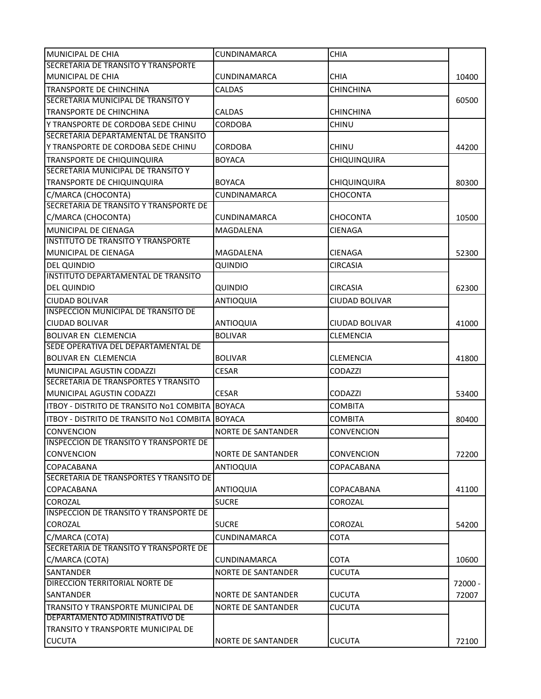| MUNICIPAL DE CHIA                             | <b>CUNDINAMARCA</b>       | <b>CHIA</b>           |         |
|-----------------------------------------------|---------------------------|-----------------------|---------|
| SECRETARIA DE TRANSITO Y TRANSPORTE           |                           |                       |         |
| MUNICIPAL DE CHIA                             | CUNDINAMARCA              | <b>CHIA</b>           | 10400   |
| <b>TRANSPORTE DE CHINCHINA</b>                | <b>CALDAS</b>             | <b>CHINCHINA</b>      |         |
| SECRETARIA MUNICIPAL DE TRANSITO Y            |                           |                       | 60500   |
| TRANSPORTE DE CHINCHINA                       | <b>CALDAS</b>             | <b>CHINCHINA</b>      |         |
| Y TRANSPORTE DE CORDOBA SEDE CHINU            | <b>CORDOBA</b>            | <b>CHINU</b>          |         |
| SECRETARIA DEPARTAMENTAL DE TRANSITO          |                           |                       |         |
| Y TRANSPORTE DE CORDOBA SEDE CHINU            | CORDOBA                   | <b>CHINU</b>          | 44200   |
| TRANSPORTE DE CHIQUINQUIRA                    | <b>BOYACA</b>             | <b>CHIQUINQUIRA</b>   |         |
| SECRETARIA MUNICIPAL DE TRANSITO Y            |                           |                       |         |
| TRANSPORTE DE CHIQUINQUIRA                    | <b>BOYACA</b>             | <b>CHIQUINQUIRA</b>   | 80300   |
| C/MARCA (CHOCONTA)                            | <b>CUNDINAMARCA</b>       | <b>CHOCONTA</b>       |         |
| SECRETARIA DE TRANSITO Y TRANSPORTE DE        |                           |                       |         |
| C/MARCA (CHOCONTA)                            | <b>CUNDINAMARCA</b>       | <b>CHOCONTA</b>       | 10500   |
| MUNICIPAL DE CIENAGA                          | MAGDALENA                 | CIENAGA               |         |
| <b>INSTITUTO DE TRANSITO Y TRANSPORTE</b>     |                           |                       |         |
| MUNICIPAL DE CIENAGA                          | MAGDALENA                 | CIENAGA               | 52300   |
| <b>DEL QUINDIO</b>                            | QUINDIO                   | <b>CIRCASIA</b>       |         |
| INSTITUTO DEPARTAMENTAL DE TRANSITO           |                           |                       |         |
| <b>DEL QUINDIO</b>                            | QUINDIO                   | <b>CIRCASIA</b>       | 62300   |
| CIUDAD BOLIVAR                                | <b>ANTIOQUIA</b>          | <b>CIUDAD BOLIVAR</b> |         |
| INSPECCION MUNICIPAL DE TRANSITO DE           |                           |                       |         |
| <b>CIUDAD BOLIVAR</b>                         | <b>ANTIOQUIA</b>          | CIUDAD BOLIVAR        | 41000   |
| <b>BOLIVAR EN CLEMENCIA</b>                   | <b>BOLIVAR</b>            | <b>CLEMENCIA</b>      |         |
| SEDE OPERATIVA DEL DEPARTAMENTAL DE           |                           |                       |         |
| <b>BOLIVAR EN CLEMENCIA</b>                   | <b>BOLIVAR</b>            | <b>CLEMENCIA</b>      | 41800   |
| MUNICIPAL AGUSTIN CODAZZI                     | <b>CESAR</b>              | <b>CODAZZI</b>        |         |
| SECRETARIA DE TRANSPORTES Y TRANSITO          |                           |                       |         |
| MUNICIPAL AGUSTIN CODAZZI                     | <b>CESAR</b>              | CODAZZI               | 53400   |
| ITBOY - DISTRITO DE TRANSITO Nº1 COMBITA      | <b>BOYACA</b>             | <b>COMBITA</b>        |         |
| ITBOY - DISTRITO DE TRANSITO No1 COMBITA      | <b>BOYACA</b>             | <b>COMBITA</b>        | 80400   |
| <b>CONVENCION</b>                             | <b>NORTE DE SANTANDER</b> | CONVENCION            |         |
| <b>INSPECCION DE TRANSITO Y TRANSPORTE DE</b> |                           |                       |         |
| <b>CONVENCION</b>                             | <b>NORTE DE SANTANDER</b> | <b>CONVENCION</b>     | 72200   |
| <b>COPACABANA</b>                             | <b>ANTIOQUIA</b>          | COPACABANA            |         |
| SECRETARIA DE TRANSPORTES Y TRANSITO DE       |                           |                       |         |
| <b>COPACABANA</b>                             | <b>ANTIOQUIA</b>          | COPACABANA            | 41100   |
| <b>COROZAL</b>                                | <b>SUCRE</b>              | COROZAL               |         |
| <b>INSPECCION DE TRANSITO Y TRANSPORTE DE</b> |                           |                       |         |
| COROZAL                                       | <b>SUCRE</b>              | COROZAL               | 54200   |
| C/MARCA (COTA)                                | <b>CUNDINAMARCA</b>       | <b>COTA</b>           |         |
| SECRETARIA DE TRANSITO Y TRANSPORTE DE        |                           |                       |         |
| C/MARCA (COTA)                                | <b>CUNDINAMARCA</b>       | <b>COTA</b>           | 10600   |
| <b>SANTANDER</b>                              | NORTE DE SANTANDER        | <b>CUCUTA</b>         |         |
| DIRECCION TERRITORIAL NORTE DE                |                           |                       | 72000 - |
| <b>SANTANDER</b>                              | <b>NORTE DE SANTANDER</b> | <b>CUCUTA</b>         | 72007   |
| TRANSITO Y TRANSPORTE MUNICIPAL DE            | <b>NORTE DE SANTANDER</b> | CUCUTA                |         |
| DEPARTAMENTO ADMINISTRATIVO DE                |                           |                       |         |
| TRANSITO Y TRANSPORTE MUNICIPAL DE            |                           |                       |         |
| <b>CUCUTA</b>                                 | NORTE DE SANTANDER        | <b>CUCUTA</b>         | 72100   |
|                                               |                           |                       |         |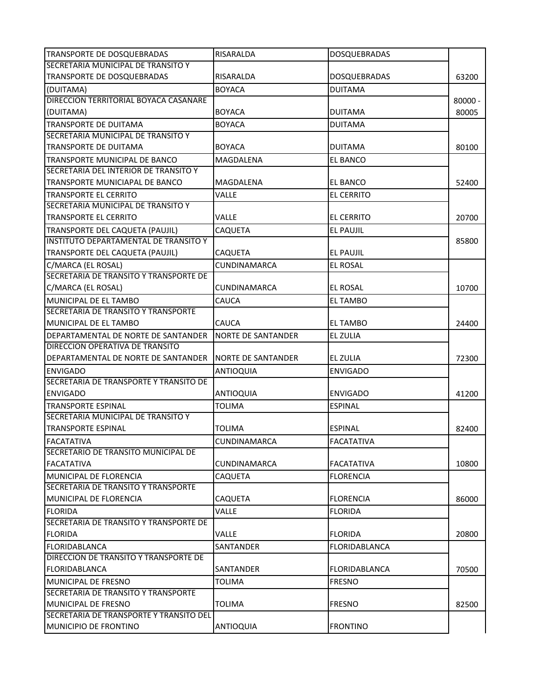| TRANSPORTE DE DOSQUEBRADAS                 | <b>RISARALDA</b>          | <b>DOSQUEBRADAS</b>  |           |
|--------------------------------------------|---------------------------|----------------------|-----------|
| SECRETARIA MUNICIPAL DE TRANSITO Y         |                           |                      |           |
| <b>TRANSPORTE DE DOSQUEBRADAS</b>          | RISARALDA                 | <b>DOSQUEBRADAS</b>  | 63200     |
| (DUITAMA)                                  | <b>BOYACA</b>             | <b>DUITAMA</b>       |           |
| DIRECCION TERRITORIAL BOYACA CASANARE      |                           |                      | $80000 -$ |
| (DUITAMA)                                  | <b>BOYACA</b>             | <b>DUITAMA</b>       | 80005     |
| <b>TRANSPORTE DE DUITAMA</b>               | <b>BOYACA</b>             | <b>DUITAMA</b>       |           |
| SECRETARIA MUNICIPAL DE TRANSITO Y         |                           |                      |           |
| TRANSPORTE DE DUITAMA                      | <b>BOYACA</b>             | <b>DUITAMA</b>       | 80100     |
| TRANSPORTE MUNICIPAL DE BANCO              | <b>MAGDALENA</b>          | <b>EL BANCO</b>      |           |
| SECRETARIA DEL INTERIOR DE TRANSITO Y      |                           |                      |           |
| TRANSPORTE MUNICIAPAL DE BANCO             | MAGDALENA                 | EL BANCO             | 52400     |
| TRANSPORTE EL CERRITO                      | VALLE                     | <b>EL CERRITO</b>    |           |
| SECRETARIA MUNICIPAL DE TRANSITO Y         |                           |                      |           |
| <b>TRANSPORTE EL CERRITO</b>               | <b>VALLE</b>              | <b>EL CERRITO</b>    | 20700     |
| TRANSPORTE DEL CAQUETA (PAUJIL)            | <b>CAQUETA</b>            | <b>EL PAUJIL</b>     |           |
| IINSTITUTO DEPARTAMENTAL DE TRANSITO Y     |                           |                      | 85800     |
| TRANSPORTE DEL CAQUETA (PAUJIL)            | CAQUETA                   | <b>EL PAUJIL</b>     |           |
| C/MARCA (EL ROSAL)                         | <b>CUNDINAMARCA</b>       | <b>EL ROSAL</b>      |           |
| SECRETARIA DE TRANSITO Y TRANSPORTE DE     |                           |                      |           |
| C/MARCA (EL ROSAL)                         | CUNDINAMARCA              | <b>EL ROSAL</b>      | 10700     |
| MUNICIPAL DE EL TAMBO                      | CAUCA                     | <b>EL TAMBO</b>      |           |
| <b>SECRETARIA DE TRANSITO Y TRANSPORTE</b> |                           |                      |           |
| MUNICIPAL DE EL TAMBO                      | <b>CAUCA</b>              | EL TAMBO             | 24400     |
| DEPARTAMENTAL DE NORTE DE SANTANDER        | <b>NORTE DE SANTANDER</b> | <b>EL ZULIA</b>      |           |
| DIRECCION OPERATIVA DE TRANSITO            |                           |                      |           |
| DEPARTAMENTAL DE NORTE DE SANTANDER        | <b>NORTE DE SANTANDER</b> | EL ZULIA             | 72300     |
| <b>ENVIGADO</b>                            | <b>ANTIOQUIA</b>          | <b>ENVIGADO</b>      |           |
| SECRETARIA DE TRANSPORTE Y TRANSITO DE     |                           |                      |           |
| <b>ENVIGADO</b>                            | <b>ANTIOQUIA</b>          | <b>ENVIGADO</b>      | 41200     |
| TRANSPORTE ESPINAL                         | TOLIMA                    | <b>ESPINAL</b>       |           |
| SECRETARIA MUNICIPAL DE TRANSITO Y         |                           |                      |           |
| <b>TRANSPORTE ESPINAL</b>                  | <b>TOLIMA</b>             | <b>ESPINAL</b>       | 82400     |
| <b>FACATATIVA</b>                          | CUNDINAMARCA              | <b>FACATATIVA</b>    |           |
| SECRETARIO DE TRANSITO MUNICIPAL DE        |                           |                      |           |
| FACATATIVA                                 | <b>CUNDINAMARCA</b>       | <b>FACATATIVA</b>    | 10800     |
| MUNICIPAL DE FLORENCIA                     | <b>CAQUETA</b>            | <b>FLORENCIA</b>     |           |
| SECRETARIA DE TRANSITO Y TRANSPORTE        |                           |                      |           |
| MUNICIPAL DE FLORENCIA                     | <b>CAQUETA</b>            | <b>FLORENCIA</b>     | 86000     |
| <b>FLORIDA</b>                             | VALLE                     | <b>FLORIDA</b>       |           |
| SECRETARIA DE TRANSITO Y TRANSPORTE DE     |                           |                      |           |
| <b>FLORIDA</b>                             | <b>VALLE</b>              | <b>FLORIDA</b>       | 20800     |
| FLORIDABLANCA                              | SANTANDER                 | <b>FLORIDABLANCA</b> |           |
| DIRECCION DE TRANSITO Y TRANSPORTE DE      |                           |                      |           |
| <b>FLORIDABLANCA</b>                       | SANTANDER                 | <b>FLORIDABLANCA</b> | 70500     |
| MUNICIPAL DE FRESNO                        | <b>TOLIMA</b>             | <b>FRESNO</b>        |           |
| SECRETARIA DE TRANSITO Y TRANSPORTE        |                           |                      |           |
| MUNICIPAL DE FRESNO                        | <b>TOLIMA</b>             | <b>FRESNO</b>        | 82500     |
| SECRETARIA DE TRANSPORTE Y TRANSITO DEL    |                           |                      |           |
| MUNICIPIO DE FRONTINO                      | <b>ANTIOQUIA</b>          | <b>FRONTINO</b>      |           |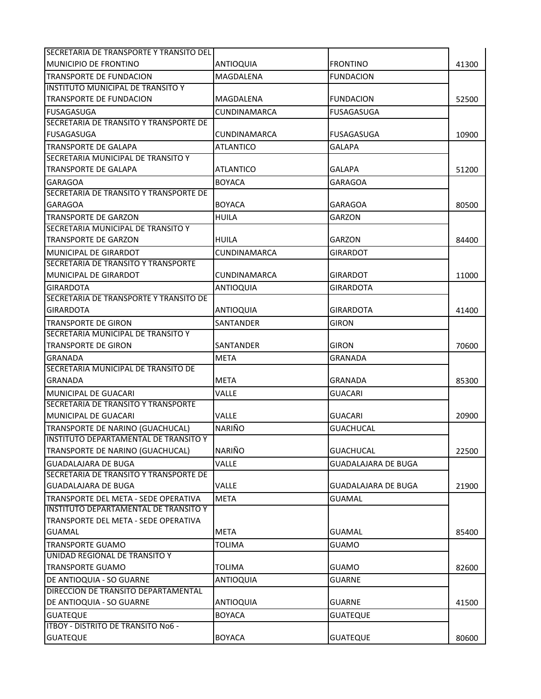| MUNICIPIO DE FRONTINO<br><b>FRONTINO</b><br>41300<br>ANTIOQUIA<br><b>TRANSPORTE DE FUNDACION</b><br>MAGDALENA<br><b>FUNDACION</b><br>INSTITUTO MUNICIPAL DE TRANSITO Y<br><b>TRANSPORTE DE FUNDACION</b><br>MAGDALENA<br><b>FUNDACION</b><br>52500<br><b>FUSAGASUGA</b><br>CUNDINAMARCA<br><b>FUSAGASUGA</b><br>SECRETARIA DE TRANSITO Y TRANSPORTE DE<br><b>FUSAGASUGA</b><br><b>FUSAGASUGA</b><br>CUNDINAMARCA<br>10900<br><b>ATLANTICO</b><br><b>GALAPA</b><br>TRANSPORTE DE GALAPA<br>SECRETARIA MUNICIPAL DE TRANSITO Y<br>TRANSPORTE DE GALAPA<br><b>ATLANTICO</b><br><b>GALAPA</b><br>51200<br><b>GARAGOA</b><br><b>BOYACA</b><br><b>GARAGOA</b><br>SECRETARIA DE TRANSITO Y TRANSPORTE DE<br><b>GARAGOA</b><br><b>BOYACA</b><br><b>GARAGOA</b><br>80500<br><b>HUILA</b><br><b>GARZON</b><br>TRANSPORTE DE GARZON<br>SECRETARIA MUNICIPAL DE TRANSITO Y<br><b>TRANSPORTE DE GARZON</b><br><b>HUILA</b><br>GARZON<br>84400<br>MUNICIPAL DE GIRARDOT<br><b>CUNDINAMARCA</b><br><b>GIRARDOT</b><br>SECRETARIA DE TRANSITO Y TRANSPORTE<br>MUNICIPAL DE GIRARDOT<br>GIRARDOT<br>CUNDINAMARCA<br>11000<br><b>ANTIOQUIA</b><br><b>GIRARDOTA</b><br>GIRARDOTA<br>SECRETARIA DE TRANSPORTE Y TRANSITO DE<br><b>GIRARDOTA</b><br><b>GIRARDOTA</b><br><b>ANTIOQUIA</b><br>41400<br><b>TRANSPORTE DE GIRON</b><br><b>SANTANDER</b><br><b>GIRON</b><br>SECRETARIA MUNICIPAL DE TRANSITO Y<br><b>GIRON</b><br><b>TRANSPORTE DE GIRON</b><br><b>SANTANDER</b><br>70600<br><b>META</b><br>GRANADA<br><b>GRANADA</b><br>SECRETARIA MUNICIPAL DE TRANSITO DE<br>GRANADA<br>META<br><b>GRANADA</b><br>85300<br>VALLE<br><b>MUNICIPAL DE GUACARI</b><br><b>GUACARI</b><br>SECRETARIA DE TRANSITO Y TRANSPORTE<br>MUNICIPAL DE GUACARI<br>VALLE<br><b>GUACARI</b><br>20900<br><b>NARIÑO</b><br>TRANSPORTE DE NARINO (GUACHUCAL)<br><b>GUACHUCAL</b><br>INSTITUTO DEPARTAMENTAL DE TRANSITO Y<br><b>NARIÑO</b><br>TRANSPORTE DE NARINO (GUACHUCAL)<br><b>GUACHUCAL</b><br>22500<br><b>GUADALAJARA DE BUGA</b><br><b>VALLE</b><br><b>GUADALAJARA DE BUGA</b><br>SECRETARIA DE TRANSITO Y TRANSPORTE DE<br>VALLE<br><b>GUADALAJARA DE BUGA</b><br><b>GUADALAJARA DE BUGA</b><br>21900<br><b>META</b><br>TRANSPORTE DEL META - SEDE OPERATIVA<br><b>GUAMAL</b><br><b>INSTITUTO DEPARTAMENTAL DE TRANSITO Y</b><br>TRANSPORTE DEL META - SEDE OPERATIVA<br><b>META</b><br><b>GUAMAL</b><br><b>GUAMAL</b><br>85400<br><b>TRANSPORTE GUAMO</b><br>TOLIMA<br><b>GUAMO</b><br>UNIDAD REGIONAL DE TRANSITO Y<br><b>TRANSPORTE GUAMO</b><br>TOLIMA<br><b>GUAMO</b><br>82600<br>DE ANTIOQUIA - SO GUARNE<br><b>ANTIOQUIA</b><br><b>GUARNE</b><br>DIRECCION DE TRANSITO DEPARTAMENTAL<br>DE ANTIOQUIA - SO GUARNE<br><b>ANTIOQUIA</b><br><b>GUARNE</b><br>41500<br><b>GUATEQUE</b><br><b>BOYACA</b><br><b>GUATEQUE</b><br>ITBOY - DISTRITO DE TRANSITO No6 -<br><b>GUATEQUE</b><br><b>BOYACA</b><br><b>GUATEQUE</b><br>80600 | SECRETARIA DE TRANSPORTE Y TRANSITO DEL I |  |  |
|----------------------------------------------------------------------------------------------------------------------------------------------------------------------------------------------------------------------------------------------------------------------------------------------------------------------------------------------------------------------------------------------------------------------------------------------------------------------------------------------------------------------------------------------------------------------------------------------------------------------------------------------------------------------------------------------------------------------------------------------------------------------------------------------------------------------------------------------------------------------------------------------------------------------------------------------------------------------------------------------------------------------------------------------------------------------------------------------------------------------------------------------------------------------------------------------------------------------------------------------------------------------------------------------------------------------------------------------------------------------------------------------------------------------------------------------------------------------------------------------------------------------------------------------------------------------------------------------------------------------------------------------------------------------------------------------------------------------------------------------------------------------------------------------------------------------------------------------------------------------------------------------------------------------------------------------------------------------------------------------------------------------------------------------------------------------------------------------------------------------------------------------------------------------------------------------------------------------------------------------------------------------------------------------------------------------------------------------------------------------------------------------------------------------------------------------------------------------------------------------------------------------------------------------------------------------------------------------------------------------------------------------------------------------------------------------------------------------------------------------------------------------------------------------------------------------------------------------------------------------------------------------------|-------------------------------------------|--|--|
|                                                                                                                                                                                                                                                                                                                                                                                                                                                                                                                                                                                                                                                                                                                                                                                                                                                                                                                                                                                                                                                                                                                                                                                                                                                                                                                                                                                                                                                                                                                                                                                                                                                                                                                                                                                                                                                                                                                                                                                                                                                                                                                                                                                                                                                                                                                                                                                                                                                                                                                                                                                                                                                                                                                                                                                                                                                                                                    |                                           |  |  |
|                                                                                                                                                                                                                                                                                                                                                                                                                                                                                                                                                                                                                                                                                                                                                                                                                                                                                                                                                                                                                                                                                                                                                                                                                                                                                                                                                                                                                                                                                                                                                                                                                                                                                                                                                                                                                                                                                                                                                                                                                                                                                                                                                                                                                                                                                                                                                                                                                                                                                                                                                                                                                                                                                                                                                                                                                                                                                                    |                                           |  |  |
|                                                                                                                                                                                                                                                                                                                                                                                                                                                                                                                                                                                                                                                                                                                                                                                                                                                                                                                                                                                                                                                                                                                                                                                                                                                                                                                                                                                                                                                                                                                                                                                                                                                                                                                                                                                                                                                                                                                                                                                                                                                                                                                                                                                                                                                                                                                                                                                                                                                                                                                                                                                                                                                                                                                                                                                                                                                                                                    |                                           |  |  |
|                                                                                                                                                                                                                                                                                                                                                                                                                                                                                                                                                                                                                                                                                                                                                                                                                                                                                                                                                                                                                                                                                                                                                                                                                                                                                                                                                                                                                                                                                                                                                                                                                                                                                                                                                                                                                                                                                                                                                                                                                                                                                                                                                                                                                                                                                                                                                                                                                                                                                                                                                                                                                                                                                                                                                                                                                                                                                                    |                                           |  |  |
|                                                                                                                                                                                                                                                                                                                                                                                                                                                                                                                                                                                                                                                                                                                                                                                                                                                                                                                                                                                                                                                                                                                                                                                                                                                                                                                                                                                                                                                                                                                                                                                                                                                                                                                                                                                                                                                                                                                                                                                                                                                                                                                                                                                                                                                                                                                                                                                                                                                                                                                                                                                                                                                                                                                                                                                                                                                                                                    |                                           |  |  |
|                                                                                                                                                                                                                                                                                                                                                                                                                                                                                                                                                                                                                                                                                                                                                                                                                                                                                                                                                                                                                                                                                                                                                                                                                                                                                                                                                                                                                                                                                                                                                                                                                                                                                                                                                                                                                                                                                                                                                                                                                                                                                                                                                                                                                                                                                                                                                                                                                                                                                                                                                                                                                                                                                                                                                                                                                                                                                                    |                                           |  |  |
|                                                                                                                                                                                                                                                                                                                                                                                                                                                                                                                                                                                                                                                                                                                                                                                                                                                                                                                                                                                                                                                                                                                                                                                                                                                                                                                                                                                                                                                                                                                                                                                                                                                                                                                                                                                                                                                                                                                                                                                                                                                                                                                                                                                                                                                                                                                                                                                                                                                                                                                                                                                                                                                                                                                                                                                                                                                                                                    |                                           |  |  |
|                                                                                                                                                                                                                                                                                                                                                                                                                                                                                                                                                                                                                                                                                                                                                                                                                                                                                                                                                                                                                                                                                                                                                                                                                                                                                                                                                                                                                                                                                                                                                                                                                                                                                                                                                                                                                                                                                                                                                                                                                                                                                                                                                                                                                                                                                                                                                                                                                                                                                                                                                                                                                                                                                                                                                                                                                                                                                                    |                                           |  |  |
|                                                                                                                                                                                                                                                                                                                                                                                                                                                                                                                                                                                                                                                                                                                                                                                                                                                                                                                                                                                                                                                                                                                                                                                                                                                                                                                                                                                                                                                                                                                                                                                                                                                                                                                                                                                                                                                                                                                                                                                                                                                                                                                                                                                                                                                                                                                                                                                                                                                                                                                                                                                                                                                                                                                                                                                                                                                                                                    |                                           |  |  |
|                                                                                                                                                                                                                                                                                                                                                                                                                                                                                                                                                                                                                                                                                                                                                                                                                                                                                                                                                                                                                                                                                                                                                                                                                                                                                                                                                                                                                                                                                                                                                                                                                                                                                                                                                                                                                                                                                                                                                                                                                                                                                                                                                                                                                                                                                                                                                                                                                                                                                                                                                                                                                                                                                                                                                                                                                                                                                                    |                                           |  |  |
|                                                                                                                                                                                                                                                                                                                                                                                                                                                                                                                                                                                                                                                                                                                                                                                                                                                                                                                                                                                                                                                                                                                                                                                                                                                                                                                                                                                                                                                                                                                                                                                                                                                                                                                                                                                                                                                                                                                                                                                                                                                                                                                                                                                                                                                                                                                                                                                                                                                                                                                                                                                                                                                                                                                                                                                                                                                                                                    |                                           |  |  |
|                                                                                                                                                                                                                                                                                                                                                                                                                                                                                                                                                                                                                                                                                                                                                                                                                                                                                                                                                                                                                                                                                                                                                                                                                                                                                                                                                                                                                                                                                                                                                                                                                                                                                                                                                                                                                                                                                                                                                                                                                                                                                                                                                                                                                                                                                                                                                                                                                                                                                                                                                                                                                                                                                                                                                                                                                                                                                                    |                                           |  |  |
|                                                                                                                                                                                                                                                                                                                                                                                                                                                                                                                                                                                                                                                                                                                                                                                                                                                                                                                                                                                                                                                                                                                                                                                                                                                                                                                                                                                                                                                                                                                                                                                                                                                                                                                                                                                                                                                                                                                                                                                                                                                                                                                                                                                                                                                                                                                                                                                                                                                                                                                                                                                                                                                                                                                                                                                                                                                                                                    |                                           |  |  |
|                                                                                                                                                                                                                                                                                                                                                                                                                                                                                                                                                                                                                                                                                                                                                                                                                                                                                                                                                                                                                                                                                                                                                                                                                                                                                                                                                                                                                                                                                                                                                                                                                                                                                                                                                                                                                                                                                                                                                                                                                                                                                                                                                                                                                                                                                                                                                                                                                                                                                                                                                                                                                                                                                                                                                                                                                                                                                                    |                                           |  |  |
|                                                                                                                                                                                                                                                                                                                                                                                                                                                                                                                                                                                                                                                                                                                                                                                                                                                                                                                                                                                                                                                                                                                                                                                                                                                                                                                                                                                                                                                                                                                                                                                                                                                                                                                                                                                                                                                                                                                                                                                                                                                                                                                                                                                                                                                                                                                                                                                                                                                                                                                                                                                                                                                                                                                                                                                                                                                                                                    |                                           |  |  |
|                                                                                                                                                                                                                                                                                                                                                                                                                                                                                                                                                                                                                                                                                                                                                                                                                                                                                                                                                                                                                                                                                                                                                                                                                                                                                                                                                                                                                                                                                                                                                                                                                                                                                                                                                                                                                                                                                                                                                                                                                                                                                                                                                                                                                                                                                                                                                                                                                                                                                                                                                                                                                                                                                                                                                                                                                                                                                                    |                                           |  |  |
|                                                                                                                                                                                                                                                                                                                                                                                                                                                                                                                                                                                                                                                                                                                                                                                                                                                                                                                                                                                                                                                                                                                                                                                                                                                                                                                                                                                                                                                                                                                                                                                                                                                                                                                                                                                                                                                                                                                                                                                                                                                                                                                                                                                                                                                                                                                                                                                                                                                                                                                                                                                                                                                                                                                                                                                                                                                                                                    |                                           |  |  |
|                                                                                                                                                                                                                                                                                                                                                                                                                                                                                                                                                                                                                                                                                                                                                                                                                                                                                                                                                                                                                                                                                                                                                                                                                                                                                                                                                                                                                                                                                                                                                                                                                                                                                                                                                                                                                                                                                                                                                                                                                                                                                                                                                                                                                                                                                                                                                                                                                                                                                                                                                                                                                                                                                                                                                                                                                                                                                                    |                                           |  |  |
|                                                                                                                                                                                                                                                                                                                                                                                                                                                                                                                                                                                                                                                                                                                                                                                                                                                                                                                                                                                                                                                                                                                                                                                                                                                                                                                                                                                                                                                                                                                                                                                                                                                                                                                                                                                                                                                                                                                                                                                                                                                                                                                                                                                                                                                                                                                                                                                                                                                                                                                                                                                                                                                                                                                                                                                                                                                                                                    |                                           |  |  |
|                                                                                                                                                                                                                                                                                                                                                                                                                                                                                                                                                                                                                                                                                                                                                                                                                                                                                                                                                                                                                                                                                                                                                                                                                                                                                                                                                                                                                                                                                                                                                                                                                                                                                                                                                                                                                                                                                                                                                                                                                                                                                                                                                                                                                                                                                                                                                                                                                                                                                                                                                                                                                                                                                                                                                                                                                                                                                                    |                                           |  |  |
|                                                                                                                                                                                                                                                                                                                                                                                                                                                                                                                                                                                                                                                                                                                                                                                                                                                                                                                                                                                                                                                                                                                                                                                                                                                                                                                                                                                                                                                                                                                                                                                                                                                                                                                                                                                                                                                                                                                                                                                                                                                                                                                                                                                                                                                                                                                                                                                                                                                                                                                                                                                                                                                                                                                                                                                                                                                                                                    |                                           |  |  |
|                                                                                                                                                                                                                                                                                                                                                                                                                                                                                                                                                                                                                                                                                                                                                                                                                                                                                                                                                                                                                                                                                                                                                                                                                                                                                                                                                                                                                                                                                                                                                                                                                                                                                                                                                                                                                                                                                                                                                                                                                                                                                                                                                                                                                                                                                                                                                                                                                                                                                                                                                                                                                                                                                                                                                                                                                                                                                                    |                                           |  |  |
|                                                                                                                                                                                                                                                                                                                                                                                                                                                                                                                                                                                                                                                                                                                                                                                                                                                                                                                                                                                                                                                                                                                                                                                                                                                                                                                                                                                                                                                                                                                                                                                                                                                                                                                                                                                                                                                                                                                                                                                                                                                                                                                                                                                                                                                                                                                                                                                                                                                                                                                                                                                                                                                                                                                                                                                                                                                                                                    |                                           |  |  |
|                                                                                                                                                                                                                                                                                                                                                                                                                                                                                                                                                                                                                                                                                                                                                                                                                                                                                                                                                                                                                                                                                                                                                                                                                                                                                                                                                                                                                                                                                                                                                                                                                                                                                                                                                                                                                                                                                                                                                                                                                                                                                                                                                                                                                                                                                                                                                                                                                                                                                                                                                                                                                                                                                                                                                                                                                                                                                                    |                                           |  |  |
|                                                                                                                                                                                                                                                                                                                                                                                                                                                                                                                                                                                                                                                                                                                                                                                                                                                                                                                                                                                                                                                                                                                                                                                                                                                                                                                                                                                                                                                                                                                                                                                                                                                                                                                                                                                                                                                                                                                                                                                                                                                                                                                                                                                                                                                                                                                                                                                                                                                                                                                                                                                                                                                                                                                                                                                                                                                                                                    |                                           |  |  |
|                                                                                                                                                                                                                                                                                                                                                                                                                                                                                                                                                                                                                                                                                                                                                                                                                                                                                                                                                                                                                                                                                                                                                                                                                                                                                                                                                                                                                                                                                                                                                                                                                                                                                                                                                                                                                                                                                                                                                                                                                                                                                                                                                                                                                                                                                                                                                                                                                                                                                                                                                                                                                                                                                                                                                                                                                                                                                                    |                                           |  |  |
|                                                                                                                                                                                                                                                                                                                                                                                                                                                                                                                                                                                                                                                                                                                                                                                                                                                                                                                                                                                                                                                                                                                                                                                                                                                                                                                                                                                                                                                                                                                                                                                                                                                                                                                                                                                                                                                                                                                                                                                                                                                                                                                                                                                                                                                                                                                                                                                                                                                                                                                                                                                                                                                                                                                                                                                                                                                                                                    |                                           |  |  |
|                                                                                                                                                                                                                                                                                                                                                                                                                                                                                                                                                                                                                                                                                                                                                                                                                                                                                                                                                                                                                                                                                                                                                                                                                                                                                                                                                                                                                                                                                                                                                                                                                                                                                                                                                                                                                                                                                                                                                                                                                                                                                                                                                                                                                                                                                                                                                                                                                                                                                                                                                                                                                                                                                                                                                                                                                                                                                                    |                                           |  |  |
|                                                                                                                                                                                                                                                                                                                                                                                                                                                                                                                                                                                                                                                                                                                                                                                                                                                                                                                                                                                                                                                                                                                                                                                                                                                                                                                                                                                                                                                                                                                                                                                                                                                                                                                                                                                                                                                                                                                                                                                                                                                                                                                                                                                                                                                                                                                                                                                                                                                                                                                                                                                                                                                                                                                                                                                                                                                                                                    |                                           |  |  |
|                                                                                                                                                                                                                                                                                                                                                                                                                                                                                                                                                                                                                                                                                                                                                                                                                                                                                                                                                                                                                                                                                                                                                                                                                                                                                                                                                                                                                                                                                                                                                                                                                                                                                                                                                                                                                                                                                                                                                                                                                                                                                                                                                                                                                                                                                                                                                                                                                                                                                                                                                                                                                                                                                                                                                                                                                                                                                                    |                                           |  |  |
|                                                                                                                                                                                                                                                                                                                                                                                                                                                                                                                                                                                                                                                                                                                                                                                                                                                                                                                                                                                                                                                                                                                                                                                                                                                                                                                                                                                                                                                                                                                                                                                                                                                                                                                                                                                                                                                                                                                                                                                                                                                                                                                                                                                                                                                                                                                                                                                                                                                                                                                                                                                                                                                                                                                                                                                                                                                                                                    |                                           |  |  |
|                                                                                                                                                                                                                                                                                                                                                                                                                                                                                                                                                                                                                                                                                                                                                                                                                                                                                                                                                                                                                                                                                                                                                                                                                                                                                                                                                                                                                                                                                                                                                                                                                                                                                                                                                                                                                                                                                                                                                                                                                                                                                                                                                                                                                                                                                                                                                                                                                                                                                                                                                                                                                                                                                                                                                                                                                                                                                                    |                                           |  |  |
|                                                                                                                                                                                                                                                                                                                                                                                                                                                                                                                                                                                                                                                                                                                                                                                                                                                                                                                                                                                                                                                                                                                                                                                                                                                                                                                                                                                                                                                                                                                                                                                                                                                                                                                                                                                                                                                                                                                                                                                                                                                                                                                                                                                                                                                                                                                                                                                                                                                                                                                                                                                                                                                                                                                                                                                                                                                                                                    |                                           |  |  |
|                                                                                                                                                                                                                                                                                                                                                                                                                                                                                                                                                                                                                                                                                                                                                                                                                                                                                                                                                                                                                                                                                                                                                                                                                                                                                                                                                                                                                                                                                                                                                                                                                                                                                                                                                                                                                                                                                                                                                                                                                                                                                                                                                                                                                                                                                                                                                                                                                                                                                                                                                                                                                                                                                                                                                                                                                                                                                                    |                                           |  |  |
|                                                                                                                                                                                                                                                                                                                                                                                                                                                                                                                                                                                                                                                                                                                                                                                                                                                                                                                                                                                                                                                                                                                                                                                                                                                                                                                                                                                                                                                                                                                                                                                                                                                                                                                                                                                                                                                                                                                                                                                                                                                                                                                                                                                                                                                                                                                                                                                                                                                                                                                                                                                                                                                                                                                                                                                                                                                                                                    |                                           |  |  |
|                                                                                                                                                                                                                                                                                                                                                                                                                                                                                                                                                                                                                                                                                                                                                                                                                                                                                                                                                                                                                                                                                                                                                                                                                                                                                                                                                                                                                                                                                                                                                                                                                                                                                                                                                                                                                                                                                                                                                                                                                                                                                                                                                                                                                                                                                                                                                                                                                                                                                                                                                                                                                                                                                                                                                                                                                                                                                                    |                                           |  |  |
|                                                                                                                                                                                                                                                                                                                                                                                                                                                                                                                                                                                                                                                                                                                                                                                                                                                                                                                                                                                                                                                                                                                                                                                                                                                                                                                                                                                                                                                                                                                                                                                                                                                                                                                                                                                                                                                                                                                                                                                                                                                                                                                                                                                                                                                                                                                                                                                                                                                                                                                                                                                                                                                                                                                                                                                                                                                                                                    |                                           |  |  |
|                                                                                                                                                                                                                                                                                                                                                                                                                                                                                                                                                                                                                                                                                                                                                                                                                                                                                                                                                                                                                                                                                                                                                                                                                                                                                                                                                                                                                                                                                                                                                                                                                                                                                                                                                                                                                                                                                                                                                                                                                                                                                                                                                                                                                                                                                                                                                                                                                                                                                                                                                                                                                                                                                                                                                                                                                                                                                                    |                                           |  |  |
|                                                                                                                                                                                                                                                                                                                                                                                                                                                                                                                                                                                                                                                                                                                                                                                                                                                                                                                                                                                                                                                                                                                                                                                                                                                                                                                                                                                                                                                                                                                                                                                                                                                                                                                                                                                                                                                                                                                                                                                                                                                                                                                                                                                                                                                                                                                                                                                                                                                                                                                                                                                                                                                                                                                                                                                                                                                                                                    |                                           |  |  |
|                                                                                                                                                                                                                                                                                                                                                                                                                                                                                                                                                                                                                                                                                                                                                                                                                                                                                                                                                                                                                                                                                                                                                                                                                                                                                                                                                                                                                                                                                                                                                                                                                                                                                                                                                                                                                                                                                                                                                                                                                                                                                                                                                                                                                                                                                                                                                                                                                                                                                                                                                                                                                                                                                                                                                                                                                                                                                                    |                                           |  |  |
|                                                                                                                                                                                                                                                                                                                                                                                                                                                                                                                                                                                                                                                                                                                                                                                                                                                                                                                                                                                                                                                                                                                                                                                                                                                                                                                                                                                                                                                                                                                                                                                                                                                                                                                                                                                                                                                                                                                                                                                                                                                                                                                                                                                                                                                                                                                                                                                                                                                                                                                                                                                                                                                                                                                                                                                                                                                                                                    |                                           |  |  |
|                                                                                                                                                                                                                                                                                                                                                                                                                                                                                                                                                                                                                                                                                                                                                                                                                                                                                                                                                                                                                                                                                                                                                                                                                                                                                                                                                                                                                                                                                                                                                                                                                                                                                                                                                                                                                                                                                                                                                                                                                                                                                                                                                                                                                                                                                                                                                                                                                                                                                                                                                                                                                                                                                                                                                                                                                                                                                                    |                                           |  |  |
|                                                                                                                                                                                                                                                                                                                                                                                                                                                                                                                                                                                                                                                                                                                                                                                                                                                                                                                                                                                                                                                                                                                                                                                                                                                                                                                                                                                                                                                                                                                                                                                                                                                                                                                                                                                                                                                                                                                                                                                                                                                                                                                                                                                                                                                                                                                                                                                                                                                                                                                                                                                                                                                                                                                                                                                                                                                                                                    |                                           |  |  |
|                                                                                                                                                                                                                                                                                                                                                                                                                                                                                                                                                                                                                                                                                                                                                                                                                                                                                                                                                                                                                                                                                                                                                                                                                                                                                                                                                                                                                                                                                                                                                                                                                                                                                                                                                                                                                                                                                                                                                                                                                                                                                                                                                                                                                                                                                                                                                                                                                                                                                                                                                                                                                                                                                                                                                                                                                                                                                                    |                                           |  |  |
|                                                                                                                                                                                                                                                                                                                                                                                                                                                                                                                                                                                                                                                                                                                                                                                                                                                                                                                                                                                                                                                                                                                                                                                                                                                                                                                                                                                                                                                                                                                                                                                                                                                                                                                                                                                                                                                                                                                                                                                                                                                                                                                                                                                                                                                                                                                                                                                                                                                                                                                                                                                                                                                                                                                                                                                                                                                                                                    |                                           |  |  |
|                                                                                                                                                                                                                                                                                                                                                                                                                                                                                                                                                                                                                                                                                                                                                                                                                                                                                                                                                                                                                                                                                                                                                                                                                                                                                                                                                                                                                                                                                                                                                                                                                                                                                                                                                                                                                                                                                                                                                                                                                                                                                                                                                                                                                                                                                                                                                                                                                                                                                                                                                                                                                                                                                                                                                                                                                                                                                                    |                                           |  |  |
|                                                                                                                                                                                                                                                                                                                                                                                                                                                                                                                                                                                                                                                                                                                                                                                                                                                                                                                                                                                                                                                                                                                                                                                                                                                                                                                                                                                                                                                                                                                                                                                                                                                                                                                                                                                                                                                                                                                                                                                                                                                                                                                                                                                                                                                                                                                                                                                                                                                                                                                                                                                                                                                                                                                                                                                                                                                                                                    |                                           |  |  |
|                                                                                                                                                                                                                                                                                                                                                                                                                                                                                                                                                                                                                                                                                                                                                                                                                                                                                                                                                                                                                                                                                                                                                                                                                                                                                                                                                                                                                                                                                                                                                                                                                                                                                                                                                                                                                                                                                                                                                                                                                                                                                                                                                                                                                                                                                                                                                                                                                                                                                                                                                                                                                                                                                                                                                                                                                                                                                                    |                                           |  |  |
|                                                                                                                                                                                                                                                                                                                                                                                                                                                                                                                                                                                                                                                                                                                                                                                                                                                                                                                                                                                                                                                                                                                                                                                                                                                                                                                                                                                                                                                                                                                                                                                                                                                                                                                                                                                                                                                                                                                                                                                                                                                                                                                                                                                                                                                                                                                                                                                                                                                                                                                                                                                                                                                                                                                                                                                                                                                                                                    |                                           |  |  |
|                                                                                                                                                                                                                                                                                                                                                                                                                                                                                                                                                                                                                                                                                                                                                                                                                                                                                                                                                                                                                                                                                                                                                                                                                                                                                                                                                                                                                                                                                                                                                                                                                                                                                                                                                                                                                                                                                                                                                                                                                                                                                                                                                                                                                                                                                                                                                                                                                                                                                                                                                                                                                                                                                                                                                                                                                                                                                                    |                                           |  |  |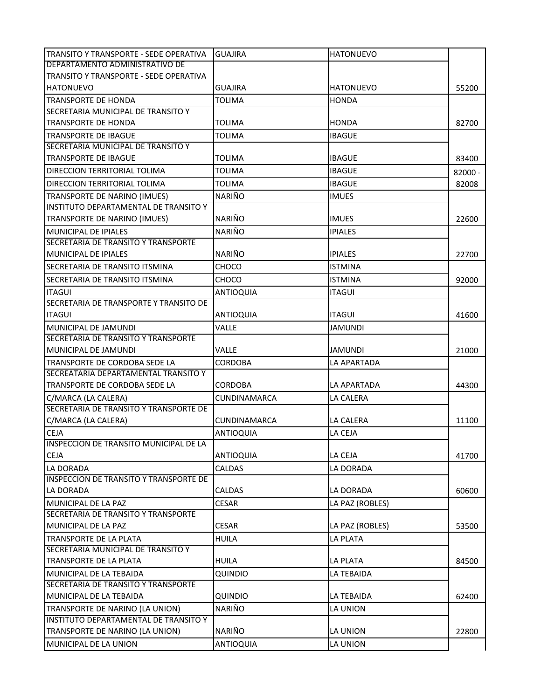| TRANSITO Y TRANSPORTE - SEDE OPERATIVA                                | <b>GUAJIRA</b>   | <b>HATONUEVO</b> |           |
|-----------------------------------------------------------------------|------------------|------------------|-----------|
| DEPARTAMENTO ADMINISTRATIVO DE                                        |                  |                  |           |
| TRANSITO Y TRANSPORTE - SEDE OPERATIVA                                |                  |                  |           |
| <b>HATONUEVO</b>                                                      | GUAJIRA          | <b>HATONUEVO</b> | 55200     |
| <b>TRANSPORTE DE HONDA</b>                                            | <b>TOLIMA</b>    | <b>HONDA</b>     |           |
| SECRETARIA MUNICIPAL DE TRANSITO Y                                    |                  |                  |           |
| <b>TRANSPORTE DE HONDA</b>                                            | TOLIMA           | <b>HONDA</b>     | 82700     |
| TRANSPORTE DE IBAGUE                                                  | <b>TOLIMA</b>    | <b>IBAGUE</b>    |           |
| SECRETARIA MUNICIPAL DE TRANSITO Y<br><b>TRANSPORTE DE IBAGUE</b>     | <b>TOLIMA</b>    | <b>IBAGUE</b>    | 83400     |
|                                                                       |                  |                  |           |
| DIRECCION TERRITORIAL TOLIMA                                          | <b>TOLIMA</b>    | <b>IBAGUE</b>    | $82000 -$ |
| DIRECCION TERRITORIAL TOLIMA                                          | TOLIMA           | <b>IBAGUE</b>    | 82008     |
| TRANSPORTE DE NARINO (IMUES)                                          | <b>NARIÑO</b>    | <b>IMUES</b>     |           |
| INSTITUTO DEPARTAMENTAL DE TRANSITO Y                                 |                  |                  |           |
| TRANSPORTE DE NARINO (IMUES)                                          | <b>NARIÑO</b>    | <b>IMUES</b>     | 22600     |
| <b>MUNICIPAL DE IPIALES</b>                                           | <b>NARIÑO</b>    | <b>IPIALES</b>   |           |
| SECRETARIA DE TRANSITO Y TRANSPORTE<br><b>MUNICIPAL DE IPIALES</b>    | <b>NARIÑO</b>    |                  |           |
|                                                                       |                  | <b>IPIALES</b>   | 22700     |
| SECRETARIA DE TRANSITO ITSMINA                                        | CHOCO            | <b>ISTMINA</b>   |           |
| SECRETARIA DE TRANSITO ITSMINA                                        | <b>CHOCO</b>     | <b>ISTMINA</b>   | 92000     |
| <b>ITAGUI</b>                                                         | <b>ANTIOQUIA</b> | <b>ITAGUI</b>    |           |
| SECRETARIA DE TRANSPORTE Y TRANSITO DE                                |                  |                  |           |
| <b>ITAGUI</b>                                                         | <b>ANTIOQUIA</b> | <b>ITAGUI</b>    | 41600     |
| MUNICIPAL DE JAMUNDI                                                  | VALLE            | <b>JAMUNDI</b>   |           |
| SECRETARIA DE TRANSITO Y TRANSPORTE                                   |                  |                  |           |
| MUNICIPAL DE JAMUNDI                                                  | VALLE            | <b>JAMUNDI</b>   | 21000     |
| TRANSPORTE DE CORDOBA SEDE LA<br>SECREATARIA DEPARTAMENTAL TRANSITO Y | <b>CORDOBA</b>   | LA APARTADA      |           |
| TRANSPORTE DE CORDOBA SEDE LA                                         | CORDOBA          | LA APARTADA      |           |
|                                                                       | CUNDINAMARCA     | LA CALERA        | 44300     |
| C/MARCA (LA CALERA)<br>SECRETARIA DE TRANSITO Y TRANSPORTE DE         |                  |                  |           |
| C/MARCA (LA CALERA)                                                   | CUNDINAMARCA     | LA CALERA        | 11100     |
| <b>CEJA</b>                                                           | <b>ANTIOQUIA</b> | LA CEJA          |           |
| INSPECCION DE TRANSITO MUNICIPAL DE LA                                |                  |                  |           |
| <b>CEJA</b>                                                           | <b>ANTIOQUIA</b> | LA CEJA          | 41700     |
| <b>LA DORADA</b>                                                      | <b>CALDAS</b>    | LA DORADA        |           |
| <b>INSPECCION DE TRANSITO Y TRANSPORTE DE</b>                         |                  |                  |           |
| LA DORADA                                                             | <b>CALDAS</b>    | LA DORADA        | 60600     |
| MUNICIPAL DE LA PAZ                                                   | <b>CESAR</b>     | LA PAZ (ROBLES)  |           |
| SECRETARIA DE TRANSITO Y TRANSPORTE                                   |                  |                  |           |
| MUNICIPAL DE LA PAZ                                                   | <b>CESAR</b>     | LA PAZ (ROBLES)  | 53500     |
| <b>TRANSPORTE DE LA PLATA</b>                                         | <b>HUILA</b>     | LA PLATA         |           |
| SECRETARIA MUNICIPAL DE TRANSITO Y                                    |                  |                  |           |
| TRANSPORTE DE LA PLATA                                                | <b>HUILA</b>     | LA PLATA         | 84500     |
| MUNICIPAL DE LA TEBAIDA                                               | QUINDIO          | LA TEBAIDA       |           |
| SECRETARIA DE TRANSITO Y TRANSPORTE                                   |                  |                  |           |
| MUNICIPAL DE LA TEBAIDA                                               | QUINDIO          | LA TEBAIDA       | 62400     |
| TRANSPORTE DE NARINO (LA UNION)                                       | <b>NARIÑO</b>    | LA UNION         |           |
| INSTITUTO DEPARTAMENTAL DE TRANSITO Y                                 |                  |                  |           |
| TRANSPORTE DE NARINO (LA UNION)                                       | NARIÑO           | LA UNION         | 22800     |
| MUNICIPAL DE LA UNION                                                 | ANTIOQUIA        | LA UNION         |           |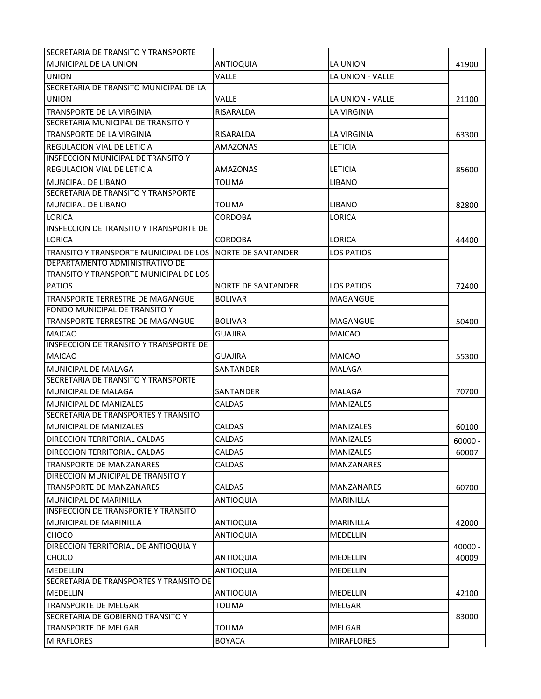| ISECRETARIA DE TRANSITO Y TRANSPORTE          |                           |                         |           |
|-----------------------------------------------|---------------------------|-------------------------|-----------|
| MUNICIPAL DE LA UNION                         | <b>ANTIOQUIA</b>          | LA UNION                | 41900     |
| UNION                                         | Valle                     | <b>LA UNION - VALLE</b> |           |
| SECRETARIA DE TRANSITO MUNICIPAL DE LA        |                           |                         |           |
| UNION                                         | Valle                     | LA UNION - VALLE        | 21100     |
| TRANSPORTE DE LA VIRGINIA                     | RISARALDA                 | <b>LA VIRGINIA</b>      |           |
| SECRETARIA MUNICIPAL DE TRANSITO Y            |                           |                         |           |
| TRANSPORTE DE LA VIRGINIA                     | RISARALDA                 | LA VIRGINIA             | 63300     |
| <b>REGULACION VIAL DE LETICIA</b>             | AMAZONAS                  | <b>LETICIA</b>          |           |
| <b>INSPECCION MUNICIPAL DE TRANSITO Y</b>     |                           |                         |           |
| <b>REGULACION VIAL DE LETICIA</b>             | AMAZONAS                  | <b>LETICIA</b>          | 85600     |
| <b>MUNCIPAL DE LIBANO</b>                     | <b>TOLIMA</b>             | <b>LIBANO</b>           |           |
| <b>SECRETARIA DE TRANSITO Y TRANSPORTE</b>    |                           |                         |           |
| <b>MUNCIPAL DE LIBANO</b>                     | <b>TOLIMA</b>             | <b>LIBANO</b>           | 82800     |
| LORICA                                        | CORDOBA                   | LORICA                  |           |
| <b>INSPECCION DE TRANSITO Y TRANSPORTE DE</b> |                           |                         |           |
| <b>LORICA</b>                                 | <b>CORDOBA</b>            | LORICA                  | 44400     |
| TRANSITO Y TRANSPORTE MUNICIPAL DE LOS        | <b>NORTE DE SANTANDER</b> | <b>LOS PATIOS</b>       |           |
| DEPARTAMENTO ADMINISTRATIVO DE                |                           |                         |           |
| TRANSITO Y TRANSPORTE MUNICIPAL DE LOS        |                           |                         |           |
| <b>PATIOS</b>                                 | NORTE DE SANTANDER        | LOS PATIOS              | 72400     |
| TRANSPORTE TERRESTRE DE MAGANGUE              | <b>BOLIVAR</b>            | <b>MAGANGUE</b>         |           |
| <b>FONDO MUNICIPAL DE TRANSITO Y</b>          |                           |                         |           |
| TRANSPORTE TERRESTRE DE MAGANGUE              | <b>BOLIVAR</b>            | <b>MAGANGUE</b>         | 50400     |
| <b>MAICAO</b>                                 | <b>GUAJIRA</b>            | <b>MAICAO</b>           |           |
| <b>INSPECCION DE TRANSITO Y TRANSPORTE DE</b> |                           |                         |           |
| <b>MAICAO</b>                                 | <b>GUAJIRA</b>            | <b>MAICAO</b>           | 55300     |
| MUNICIPAL DE MALAGA                           | SANTANDER                 | <b>MALAGA</b>           |           |
| SECRETARIA DE TRANSITO Y TRANSPORTE           |                           |                         |           |
| MUNICIPAL DE MALAGA                           | SANTANDER                 | MALAGA                  | 70700     |
| MUNICIPAL DE MANIZALES                        | <b>CALDAS</b>             | <b>MANIZALES</b>        |           |
| SECRETARIA DE TRANSPORTES Y TRANSITO          |                           |                         |           |
| MUNICIPAL DE MANIZALES                        | <b>CALDAS</b>             | <b>MANIZALES</b>        | 60100     |
| <b>DIRECCION TERRITORIAL CALDAS</b>           | <b>CALDAS</b>             | <b>MANIZALES</b>        | $60000 -$ |
| DIRECCION TERRITORIAL CALDAS                  | <b>CALDAS</b>             | <b>MANIZALES</b>        | 60007     |
| <b>TRANSPORTE DE MANZANARES</b>               | <b>CALDAS</b>             | <b>MANZANARES</b>       |           |
| DIRECCION MUNICIPAL DE TRANSITO Y             |                           |                         |           |
| TRANSPORTE DE MANZANARES                      | <b>CALDAS</b>             | <b>MANZANARES</b>       | 60700     |
| <b>MUNICIPAL DE MARINILLA</b>                 | <b>ANTIOQUIA</b>          | <b>MARINILLA</b>        |           |
| <b>INSPECCION DE TRANSPORTE Y TRANSITO</b>    |                           |                         |           |
| MUNICIPAL DE MARINILLA                        | <b>ANTIOQUIA</b>          | <b>MARINILLA</b>        | 42000     |
| <b>CHOCO</b>                                  | <b>ANTIOQUIA</b>          | <b>MEDELLIN</b>         |           |
| DIRECCION TERRITORIAL DE ANTIOQUIA Y          |                           |                         | $40000 -$ |
| CHOCO                                         | <b>ANTIOQUIA</b>          | <b>MEDELLIN</b>         | 40009     |
| <b>MEDELLIN</b>                               | <b>ANTIOQUIA</b>          | MEDELLIN                |           |
| SECRETARIA DE TRANSPORTES Y TRANSITO DE       |                           |                         |           |
| <b>MEDELLIN</b>                               | <b>ANTIOQUIA</b>          | <b>MEDELLIN</b>         | 42100     |
| <b>TRANSPORTE DE MELGAR</b>                   | <b>TOLIMA</b>             | <b>MELGAR</b>           |           |
| SECRETARIA DE GOBIERNO TRANSITO Y             |                           |                         | 83000     |
| <b>TRANSPORTE DE MELGAR</b>                   | <b>TOLIMA</b>             | <b>MELGAR</b>           |           |
| <b>MIRAFLORES</b>                             | <b>BOYACA</b>             | <b>MIRAFLORES</b>       |           |
|                                               |                           |                         |           |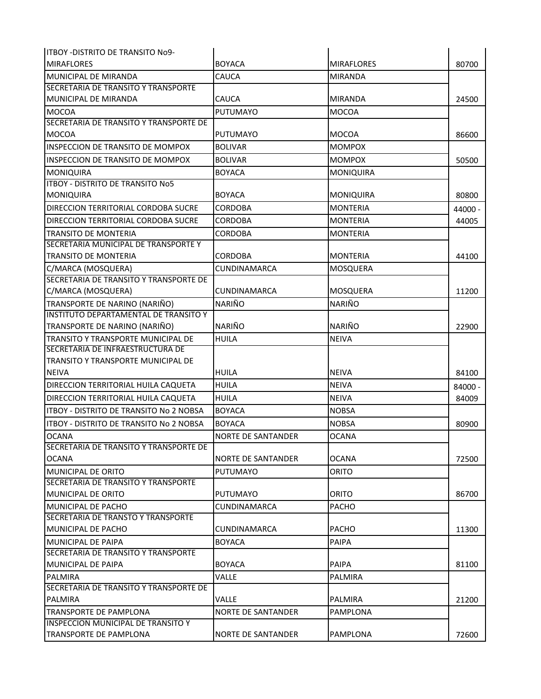| <b>ITBOY - DISTRITO DE TRANSITO No9-</b>       |                           |                   |         |
|------------------------------------------------|---------------------------|-------------------|---------|
| <b>MIRAFLORES</b>                              | <b>BOYACA</b>             | <b>MIRAFLORES</b> | 80700   |
| <b>MUNICIPAL DE MIRANDA</b>                    | CAUCA                     | <b>MIRANDA</b>    |         |
| SECRETARIA DE TRANSITO Y TRANSPORTE            |                           |                   |         |
| MUNICIPAL DE MIRANDA                           | <b>CAUCA</b>              | <b>MIRANDA</b>    | 24500   |
| <b>MOCOA</b>                                   | <b>PUTUMAYO</b>           | <b>MOCOA</b>      |         |
| SECRETARIA DE TRANSITO Y TRANSPORTE DE         |                           |                   |         |
| <b>MOCOA</b>                                   | <b>PUTUMAYO</b>           | <b>MOCOA</b>      | 86600   |
| <b>INSPECCION DE TRANSITO DE MOMPOX</b>        | <b>BOLIVAR</b>            | <b>MOMPOX</b>     |         |
| INSPECCION DE TRANSITO DE MOMPOX               | <b>BOLIVAR</b>            | <b>MOMPOX</b>     | 50500   |
| <b>MONIQUIRA</b>                               | <b>BOYACA</b>             | <b>MONIQUIRA</b>  |         |
| <b>ITBOY - DISTRITO DE TRANSITO No5</b>        |                           |                   |         |
| <b>MONIQUIRA</b>                               | <b>BOYACA</b>             | <b>MONIQUIRA</b>  | 80800   |
| <b>DIRECCION TERRITORIAL CORDOBA SUCRE</b>     | CORDOBA                   | <b>MONTERIA</b>   | 44000 - |
| DIRECCION TERRITORIAL CORDOBA SUCRE            | CORDOBA                   | <b>MONTERIA</b>   | 44005   |
| TRANSITO DE MONTERIA                           | CORDOBA                   | MONTERIA          |         |
| SECRETARIA MUNICIPAL DE TRANSPORTE Y           |                           |                   |         |
| <b>TRANSITO DE MONTERIA</b>                    | <b>CORDOBA</b>            | <b>MONTERIA</b>   | 44100   |
| C/MARCA (MOSQUERA)                             | <b>CUNDINAMARCA</b>       | MOSQUERA          |         |
| SECRETARIA DE TRANSITO Y TRANSPORTE DE         |                           |                   |         |
| C/MARCA (MOSQUERA)                             | CUNDINAMARCA              | MOSQUERA          | 11200   |
| TRANSPORTE DE NARINO (NARIÑO)                  | <b>NARIÑO</b>             | NARIÑO            |         |
| INSTITUTO DEPARTAMENTAL DE TRANSITO Y          |                           |                   |         |
| TRANSPORTE DE NARINO (NARIÑO)                  | <b>NARIÑO</b>             | NARIÑO            | 22900   |
| <b>TRANSITO Y TRANSPORTE MUNICIPAL DE</b>      | HUILA                     | <b>NEIVA</b>      |         |
| SECRETARIA DE INFRAESTRUCTURA DE               |                           |                   |         |
| <b>TRANSITO Y TRANSPORTE MUNICIPAL DE</b>      |                           |                   |         |
| <b>NEIVA</b>                                   | <b>HUILA</b>              | <b>NEIVA</b>      | 84100   |
| DIRECCION TERRITORIAL HUILA CAQUETA            | <b>HUILA</b>              | <b>NEIVA</b>      | 84000 - |
| DIRECCION TERRITORIAL HUILA CAQUETA            | <b>HUILA</b>              | <b>NEIVA</b>      | 84009   |
| <b>ITBOY - DISTRITO DE TRANSITO No 2 NOBSA</b> | <b>BOYACA</b>             | <b>NOBSA</b>      |         |
| <b>ITBOY - DISTRITO DE TRANSITO No 2 NOBSA</b> | <b>BOYACA</b>             | <b>NOBSA</b>      | 80900   |
| <b>OCANA</b>                                   | NORTE DE SANTANDER        | <b>OCANA</b>      |         |
| SECRETARIA DE TRANSITO Y TRANSPORTE DE         |                           |                   |         |
| <b>OCANA</b>                                   | NORTE DE SANTANDER        | <b>OCANA</b>      | 72500   |
| IMUNICIPAL DE ORITO                            | <b>PUTUMAYO</b>           | ORITO             |         |
| <b>SECRETARIA DE TRANSITO Y TRANSPORTE</b>     |                           |                   |         |
| MUNICIPAL DE ORITO                             | PUTUMAYO                  | ORITO             | 86700   |
| IMUNICIPAL DE PACHO                            | <b>CUNDINAMARCA</b>       | <b>PACHO</b>      |         |
| ISECRETARIA DE TRANSTO Y TRANSPORTE            |                           |                   |         |
| MUNICIPAL DE PACHO                             | CUNDINAMARCA              | <b>PACHO</b>      | 11300   |
| MUNICIPAL DE PAIPA                             | <b>BOYACA</b>             | <b>PAIPA</b>      |         |
| <b>SECRETARIA DE TRANSITO Y TRANSPORTE</b>     |                           |                   |         |
| <b>MUNICIPAL DE PAIPA</b>                      | <b>BOYACA</b>             | <b>PAIPA</b>      | 81100   |
| PALMIRA                                        | VALLE                     | PALMIRA           |         |
| SECRETARIA DE TRANSITO Y TRANSPORTE DE         |                           |                   |         |
| PALMIRA                                        | <b>VALLE</b>              | PALMIRA           | 21200   |
| TRANSPORTE DE PAMPLONA                         | NORTE DE SANTANDER        | PAMPLONA          |         |
| <b>INSPECCION MUNICIPAL DE TRANSITO Y</b>      |                           |                   |         |
| <b>TRANSPORTE DE PAMPLONA</b>                  | <b>NORTE DE SANTANDER</b> | PAMPLONA          | 72600   |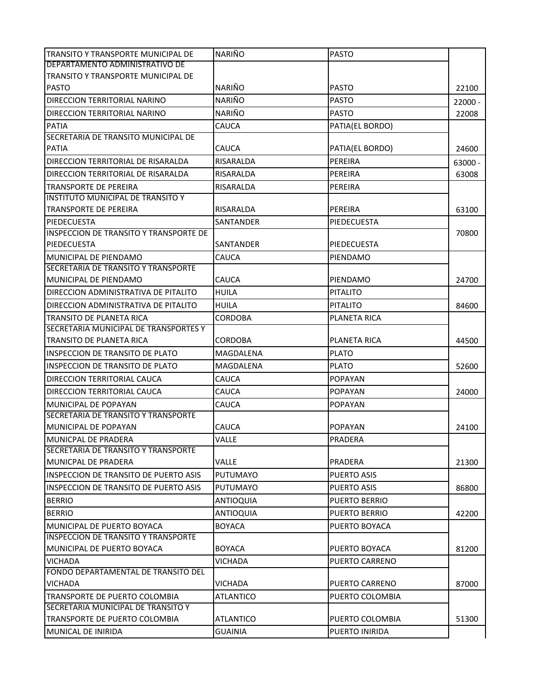| TRANSITO Y TRANSPORTE MUNICIPAL DE                 | NARIÑO           | <b>PASTO</b>         |           |
|----------------------------------------------------|------------------|----------------------|-----------|
| DEPARTAMENTO ADMINISTRATIVO DE                     |                  |                      |           |
| TRANSITO Y TRANSPORTE MUNICIPAL DE<br><b>PASTO</b> | <b>NARIÑO</b>    | <b>PASTO</b>         |           |
|                                                    |                  |                      | 22100     |
| DIRECCION TERRITORIAL NARINO                       | <b>NARIÑO</b>    | <b>PASTO</b>         | $22000 -$ |
| DIRECCION TERRITORIAL NARINO                       | <b>NARIÑO</b>    | <b>PASTO</b>         | 22008     |
| <b>PATIA</b>                                       | CAUCA            | PATIA(EL BORDO)      |           |
| SECRETARIA DE TRANSITO MUNICIPAL DE                |                  |                      |           |
| <b>PATIA</b>                                       | CAUCA            | PATIA(EL BORDO)      | 24600     |
| DIRECCION TERRITORIAL DE RISARALDA                 | RISARALDA        | <b>PEREIRA</b>       | 63000 -   |
| DIRECCION TERRITORIAL DE RISARALDA                 | RISARALDA        | PEREIRA              | 63008     |
| TRANSPORTE DE PEREIRA                              | RISARALDA        | PEREIRA              |           |
| <b>INSTITUTO MUNICIPAL DE TRANSITO Y</b>           |                  |                      |           |
| <b>TRANSPORTE DE PEREIRA</b>                       | RISARALDA        | PEREIRA              | 63100     |
| PIEDECUESTA                                        | <b>SANTANDER</b> | PIEDECUESTA          |           |
| <b>INSPECCION DE TRANSITO Y TRANSPORTE DE</b>      |                  |                      | 70800     |
| PIEDECUESTA                                        | SANTANDER        | PIEDECUESTA          |           |
| MUNICIPAL DE PIENDAMO                              | CAUCA            | PIENDAMO             |           |
| SECRETARIA DE TRANSITO Y TRANSPORTE                |                  |                      |           |
| MUNICIPAL DE PIENDAMO                              | CAUCA            | PIENDAMO             | 24700     |
| DIRECCION ADMINISTRATIVA DE PITALITO               | <b>HUILA</b>     | <b>PITALITO</b>      |           |
| DIRECCION ADMINISTRATIVA DE PITALITO               | HUILA            | <b>PITALITO</b>      | 84600     |
| <b>TRANSITO DE PLANETA RICA</b>                    | <b>CORDOBA</b>   | <b>PLANETA RICA</b>  |           |
| SECRETARIA MUNICIPAL DE TRANSPORTES Y              |                  |                      |           |
| TRANSITO DE PLANETA RICA                           | CORDOBA          | PLANETA RICA         | 44500     |
| INSPECCION DE TRANSITO DE PLATO                    | MAGDALENA        | <b>PLATO</b>         |           |
| INSPECCION DE TRANSITO DE PLATO                    | MAGDALENA        | <b>PLATO</b>         | 52600     |
| DIRECCION TERRITORIAL CAUCA                        | CAUCA            | <b>POPAYAN</b>       |           |
| DIRECCION TERRITORIAL CAUCA                        | CAUCA            | <b>POPAYAN</b>       | 24000     |
| MUNICIPAL DE POPAYAN                               | <b>CAUCA</b>     | <b>POPAYAN</b>       |           |
| SECRETARIA DE TRANSITO Y TRANSPORTE                |                  |                      |           |
| MUNICIPAL DE POPAYAN                               | CAUCA            | <b>POPAYAN</b>       | 24100     |
| IMUNICPAL DE PRADERA                               | VALLE            | PRADERA              |           |
| SECRETARIA DE TRANSITO Y TRANSPORTE                |                  |                      |           |
| <b>MUNICPAL DE PRADERA</b>                         | VALLE            | PRADERA              | 21300     |
| <b>INSPECCION DE TRANSITO DE PUERTO ASIS</b>       | <b>PUTUMAYO</b>  | PUERTO ASIS          |           |
| <b>INSPECCION DE TRANSITO DE PUERTO ASIS</b>       | <b>PUTUMAYO</b>  | PUERTO ASIS          | 86800     |
| <b>BERRIO</b>                                      | <b>ANTIOQUIA</b> | <b>PUERTO BERRIO</b> |           |
| <b>BERRIO</b>                                      | <b>ANTIOQUIA</b> | <b>PUERTO BERRIO</b> | 42200     |
| MUNICIPAL DE PUERTO BOYACA                         | <b>BOYACA</b>    | PUERTO BOYACA        |           |
| <b>INSPECCION DE TRANSITO Y TRANSPORTE</b>         |                  |                      |           |
| MUNICIPAL DE PUERTO BOYACA                         | <b>BOYACA</b>    | PUERTO BOYACA        | 81200     |
| <b>VICHADA</b>                                     | VICHADA          | PUERTO CARRENO       |           |
| FONDO DEPARTAMENTAL DE TRANSITO DEL                |                  |                      |           |
| <b>VICHADA</b>                                     | VICHADA          | PUERTO CARRENO       | 87000     |
| TRANSPORTE DE PUERTO COLOMBIA                      | ATLANTICO        | PUERTO COLOMBIA      |           |
| SECRETARIA MUNICIPAL DE TRANSITO Y                 |                  |                      |           |
| TRANSPORTE DE PUERTO COLOMBIA                      | ATLANTICO        | PUERTO COLOMBIA      | 51300     |
| MUNICAL DE INIRIDA                                 | <b>GUAINIA</b>   | PUERTO INIRIDA       |           |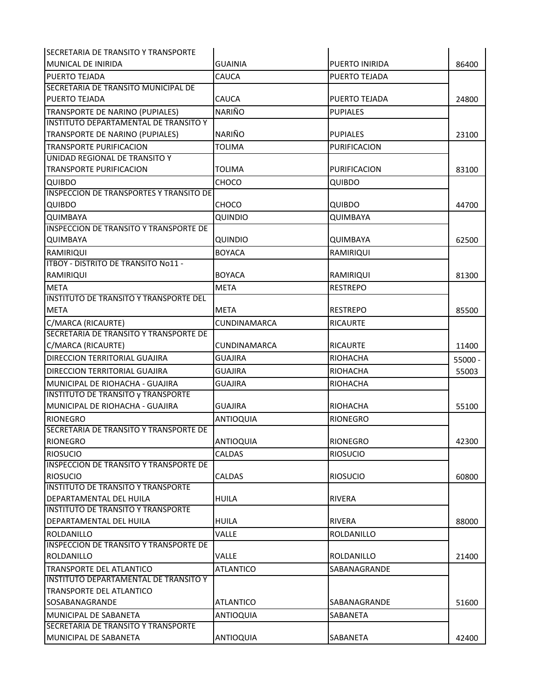| ISECRETARIA DE TRANSITO Y TRANSPORTE           |                     |                      |           |
|------------------------------------------------|---------------------|----------------------|-----------|
| MUNICAL DE INIRIDA                             | <b>GUAINIA</b>      | PUERTO INIRIDA       | 86400     |
| <b>PUERTO TEJADA</b>                           | CAUCA               | PUERTO TEJADA        |           |
| SECRETARIA DE TRANSITO MUNICIPAL DE            |                     |                      |           |
| <b>PUERTO TEJADA</b>                           | CAUCA               | <b>PUERTO TEJADA</b> | 24800     |
| TRANSPORTE DE NARINO (PUPIALES)                | NARIÑO              | <b>PUPIALES</b>      |           |
| INSTITUTO DEPARTAMENTAL DE TRANSITO Y          |                     |                      |           |
| TRANSPORTE DE NARINO (PUPIALES)                | NARIÑO              | <b>PUPIALES</b>      | 23100     |
| <b>TRANSPORTE PURIFICACION</b>                 | <b>TOLIMA</b>       | PURIFICACION         |           |
| UNIDAD REGIONAL DE TRANSITO Y                  |                     |                      |           |
| <b>TRANSPORTE PURIFICACION</b>                 | <b>TOLIMA</b>       | PURIFICACION         | 83100     |
| <b>QUIBDO</b>                                  | CHOCO               | <b>QUIBDO</b>        |           |
| <b>INSPECCION DE TRANSPORTES Y TRANSITO DE</b> |                     |                      |           |
| <b>QUIBDO</b>                                  | CHOCO               | <b>QUIBDO</b>        | 44700     |
| QUIMBAYA                                       | QUINDIO             | QUIMBAYA             |           |
| <b>INSPECCION DE TRANSITO Y TRANSPORTE DE</b>  |                     |                      |           |
| QUIMBAYA                                       | QUINDIO             | QUIMBAYA             | 62500     |
| <b>RAMIRIQUI</b>                               | <b>BOYACA</b>       | RAMIRIQUI            |           |
| ITBOY - DISTRITO DE TRANSITO No11 -            |                     |                      |           |
| <b>RAMIRIQUI</b>                               | <b>BOYACA</b>       | RAMIRIQUI            | 81300     |
| <b>META</b>                                    | <b>META</b>         | <b>RESTREPO</b>      |           |
| INSTITUTO DE TRANSITO Y TRANSPORTE DEL         |                     |                      |           |
| <b>META</b>                                    | <b>META</b>         | <b>RESTREPO</b>      | 85500     |
| C/MARCA (RICAURTE)                             | <b>CUNDINAMARCA</b> | <b>RICAURTE</b>      |           |
| SECRETARIA DE TRANSITO Y TRANSPORTE DE         |                     |                      |           |
| C/MARCA (RICAURTE)                             | <b>CUNDINAMARCA</b> | <b>RICAURTE</b>      | 11400     |
| <b>DIRECCION TERRITORIAL GUAJIRA</b>           | <b>GUAJIRA</b>      | <b>RIOHACHA</b>      | $55000 -$ |
| DIRECCION TERRITORIAL GUAJIRA                  | <b>GUAJIRA</b>      | RIOHACHA             | 55003     |
| MUNICIPAL DE RIOHACHA - GUAJIRA                | <b>GUAJIRA</b>      | RIOHACHA             |           |
| <b>INSTITUTO DE TRANSITO y TRANSPORTE</b>      |                     |                      |           |
| MUNICIPAL DE RIOHACHA - GUAJIRA                | <b>GUAJIRA</b>      | <b>RIOHACHA</b>      | 55100     |
| <b>RIONEGRO</b>                                | <b>ANTIOQUIA</b>    | <b>RIONEGRO</b>      |           |
| SECRETARIA DE TRANSITO Y TRANSPORTE DE         |                     |                      |           |
| RIONEGRO                                       | ANTIOQUIA           | <b>RIONEGRO</b>      | 42300     |
| <b>RIOSUCIO</b>                                | <b>CALDAS</b>       | <b>RIOSUCIO</b>      |           |
| <b>INSPECCION DE TRANSITO Y TRANSPORTE DE</b>  |                     |                      |           |
| <b>RIOSUCIO</b>                                | <b>CALDAS</b>       | <b>RIOSUCIO</b>      | 60800     |
| <b>INSTITUTO DE TRANSITO Y TRANSPORTE</b>      |                     |                      |           |
| <b>DEPARTAMENTAL DEL HUILA</b>                 | <b>HUILA</b>        | <b>RIVERA</b>        |           |
| INSTITUTO DE TRANSITO Y TRANSPORTE             |                     |                      |           |
| <b>DEPARTAMENTAL DEL HUILA</b>                 | <b>HUILA</b>        | <b>RIVERA</b>        | 88000     |
| ROLDANILLO                                     | VALLE               | ROLDANILLO           |           |
| <b>INSPECCION DE TRANSITO Y TRANSPORTE DE</b>  |                     |                      |           |
| ROLDANILLO                                     | VALLE               | ROLDANILLO           | 21400     |
| <b>TRANSPORTE DEL ATLANTICO</b>                | <b>ATLANTICO</b>    | SABANAGRANDE         |           |
| <b>INSTITUTO DEPARTAMENTAL DE TRANSITO Y</b>   |                     |                      |           |
| TRANSPORTE DEL ATLANTICO                       |                     |                      |           |
| SOSABANAGRANDE                                 | <b>ATLANTICO</b>    | <b>SABANAGRANDE</b>  | 51600     |
| <b>MUNICIPAL DE SABANETA</b>                   | <b>ANTIOQUIA</b>    | SABANETA             |           |
| SECRETARIA DE TRANSITO Y TRANSPORTE            |                     |                      |           |
| MUNICIPAL DE SABANETA                          | <b>ANTIOQUIA</b>    | SABANETA             | 42400     |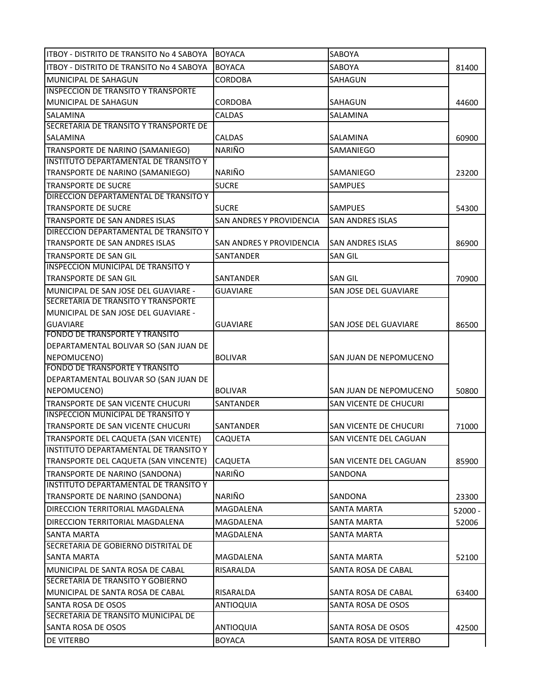| <b>ITBOY - DISTRITO DE TRANSITO No 4 SABOYA</b>                                | <b>BOYACA</b>            | SABOYA                  |           |
|--------------------------------------------------------------------------------|--------------------------|-------------------------|-----------|
| <b>ITBOY - DISTRITO DE TRANSITO No 4 SABOYA</b>                                | <b>BOYACA</b>            | SABOYA                  | 81400     |
| MUNICIPAL DE SAHAGUN                                                           | <b>CORDOBA</b>           | SAHAGUN                 |           |
| <b>INSPECCION DE TRANSITO Y TRANSPORTE</b>                                     |                          |                         |           |
| MUNICIPAL DE SAHAGUN                                                           | <b>CORDOBA</b>           | SAHAGUN                 | 44600     |
| <b>SALAMINA</b>                                                                | <b>CALDAS</b>            | SALAMINA                |           |
| SECRETARIA DE TRANSITO Y TRANSPORTE DE                                         |                          |                         |           |
| <b>SALAMINA</b>                                                                | CALDAS                   | SALAMINA                | 60900     |
| TRANSPORTE DE NARINO (SAMANIEGO)                                               | <b>NARIÑO</b>            | SAMANIEGO               |           |
| INSTITUTO DEPARTAMENTAL DE TRANSITO Y                                          |                          |                         |           |
| TRANSPORTE DE NARINO (SAMANIEGO)                                               | NARIÑO                   | SAMANIEGO               | 23200     |
| <b>TRANSPORTE DE SUCRE</b>                                                     | <b>SUCRE</b>             | <b>SAMPUES</b>          |           |
| DIRECCION DEPARTAMENTAL DE TRANSITO Y                                          |                          |                         |           |
| <b>TRANSPORTE DE SUCRE</b>                                                     | <b>SUCRE</b>             | <b>SAMPUES</b>          | 54300     |
| TRANSPORTE DE SAN ANDRES ISLAS                                                 | SAN ANDRES Y PROVIDENCIA | <b>SAN ANDRES ISLAS</b> |           |
| DIRECCION DEPARTAMENTAL DE TRANSITO Y                                          |                          |                         |           |
| TRANSPORTE DE SAN ANDRES ISLAS                                                 | SAN ANDRES Y PROVIDENCIA | <b>SAN ANDRES ISLAS</b> | 86900     |
| <b>TRANSPORTE DE SAN GIL</b>                                                   | SANTANDER                | <b>SAN GIL</b>          |           |
| INSPECCION MUNICIPAL DE TRANSITO Y                                             |                          |                         |           |
| <b>TRANSPORTE DE SAN GIL</b>                                                   | <b>SANTANDER</b>         | SAN GIL                 | 70900     |
| MUNICIPAL DE SAN JOSE DEL GUAVIARE -                                           | <b>GUAVIARE</b>          | SAN JOSE DEL GUAVIARE   |           |
| SECRETARIA DE TRANSITO Y TRANSPORTE                                            |                          |                         |           |
| MUNICIPAL DE SAN JOSE DEL GUAVIARE -                                           |                          |                         |           |
| <b>GUAVIARE</b>                                                                | <b>GUAVIARE</b>          | SAN JOSE DEL GUAVIARE   | 86500     |
| <b>FONDO DE TRANSPORTE Y TRANSITO</b>                                          |                          |                         |           |
| DEPARTAMENTAL BOLIVAR SO (SAN JUAN DE                                          |                          |                         |           |
| NEPOMUCENO)<br><b>FONDO DE TRANSPORTE Y TRANSITO</b>                           | <b>BOLIVAR</b>           | SAN JUAN DE NEPOMUCENO  |           |
|                                                                                |                          |                         |           |
| DEPARTAMENTAL BOLIVAR SO (SAN JUAN DE                                          |                          | SAN JUAN DE NEPOMUCENO  |           |
| NEPOMUCENO)                                                                    | <b>BOLIVAR</b>           |                         | 50800     |
| TRANSPORTE DE SAN VICENTE CHUCURI<br><b>INSPECCION MUNICIPAL DE TRANSITO Y</b> | SANTANDER                | SAN VICENTE DE CHUCURI  |           |
| TRANSPORTE DE SAN VICENTE CHUCURI                                              | SANTANDER                | SAN VICENTE DE CHUCURI  |           |
|                                                                                |                          |                         | 71000     |
| TRANSPORTE DEL CAQUETA (SAN VICENTE)<br>INSTITUTO DEPARTAMENTAL DE TRANSITO Y  | <b>CAQUETA</b>           | SAN VICENTE DEL CAGUAN  |           |
| TRANSPORTE DEL CAQUETA (SAN VINCENTE)                                          |                          | SAN VICENTE DEL CAGUAN  |           |
|                                                                                | CAQUETA                  |                         | 85900     |
| TRANSPORTE DE NARINO (SANDONA)<br>INSTITUTO DEPARTAMENTAL DE TRANSITO Y        | NARIÑO                   | SANDONA                 |           |
| TRANSPORTE DE NARINO (SANDONA)                                                 | NARIÑO                   | SANDONA                 |           |
|                                                                                |                          |                         | 23300     |
| DIRECCION TERRITORIAL MAGDALENA                                                | MAGDALENA                | <b>SANTA MARTA</b>      | $52000 -$ |
| DIRECCION TERRITORIAL MAGDALENA                                                | MAGDALENA                | <b>SANTA MARTA</b>      | 52006     |
| <b>SANTA MARTA</b>                                                             | MAGDALENA                | <b>SANTA MARTA</b>      |           |
| SECRETARIA DE GOBIERNO DISTRITAL DE                                            |                          |                         |           |
| <b>SANTA MARTA</b>                                                             | MAGDALENA                | <b>SANTA MARTA</b>      | 52100     |
| MUNICIPAL DE SANTA ROSA DE CABAL                                               | RISARALDA                | SANTA ROSA DE CABAL     |           |
| SECRETARIA DE TRANSITO Y GOBIERNO                                              |                          |                         |           |
| MUNICIPAL DE SANTA ROSA DE CABAL                                               | RISARALDA                | SANTA ROSA DE CABAL     | 63400     |
| <b>SANTA ROSA DE OSOS</b>                                                      | <b>ANTIOQUIA</b>         | SANTA ROSA DE OSOS      |           |
| SECRETARIA DE TRANSITO MUNICIPAL DE                                            |                          |                         |           |
| <b>SANTA ROSA DE OSOS</b>                                                      | <b>ANTIOQUIA</b>         | SANTA ROSA DE OSOS      | 42500     |
| <b>DE VITERBO</b>                                                              | <b>BOYACA</b>            | SANTA ROSA DE VITERBO   |           |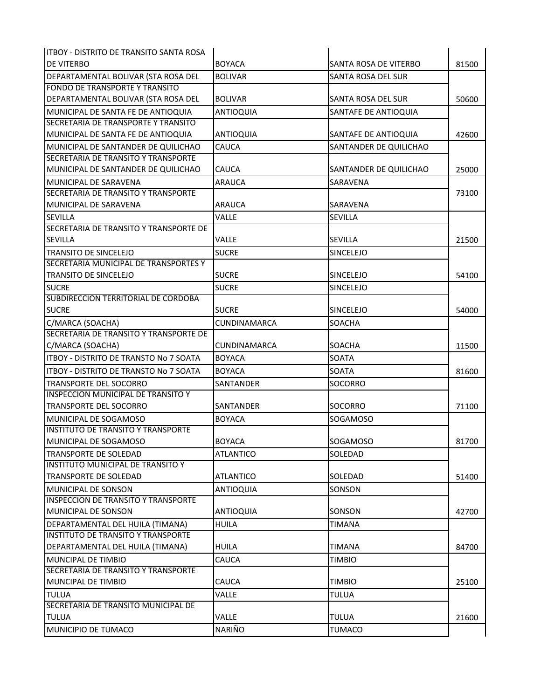| litboy - Distrito de Transito Santa Rosa      |                     |                        |       |
|-----------------------------------------------|---------------------|------------------------|-------|
| <b>DE VITERBO</b>                             | <b>BOYACA</b>       | SANTA ROSA DE VITERBO  | 81500 |
| DEPARTAMENTAL BOLIVAR (STA ROSA DEL           | <b>BOLIVAR</b>      | SANTA ROSA DEL SUR     |       |
| <b>FONDO DE TRANSPORTE Y TRANSITO</b>         |                     |                        |       |
| DEPARTAMENTAL BOLIVAR (STA ROSA DEL           | <b>BOLIVAR</b>      | SANTA ROSA DEL SUR     | 50600 |
| MUNICIPAL DE SANTA FE DE ANTIOQUIA            | <b>ANTIOQUIA</b>    | SANTAFE DE ANTIOQUIA   |       |
| <b>SECRETARIA DE TRANSPORTE Y TRANSITO</b>    |                     |                        |       |
| MUNICIPAL DE SANTA FE DE ANTIOQUIA            | <b>ANTIOQUIA</b>    | SANTAFE DE ANTIOQUIA   | 42600 |
| MUNICIPAL DE SANTANDER DE QUILICHAO           | CAUCA               | SANTANDER DE QUILICHAO |       |
| <b>SECRETARIA DE TRANSITO Y TRANSPORTE</b>    |                     |                        |       |
| MUNICIPAL DE SANTANDER DE QUILICHAO           | <b>CAUCA</b>        | SANTANDER DE QUILICHAO | 25000 |
| MUNICIPAL DE SARAVENA                         | <b>ARAUCA</b>       | SARAVENA               |       |
| SECRETARIA DE TRANSITO Y TRANSPORTE           |                     |                        | 73100 |
| IMUNICIPAL DE SARAVENA                        | ARAUCA              | SARAVENA               |       |
| <b>SEVILLA</b>                                | VALLE               | <b>SEVILLA</b>         |       |
| SECRETARIA DE TRANSITO Y TRANSPORTE DE        |                     |                        |       |
| <b>SEVILLA</b>                                | VALLE               | <b>SEVILLA</b>         | 21500 |
| <b>TRANSITO DE SINCELEJO</b>                  | <b>SUCRE</b>        | <b>SINCELEJO</b>       |       |
| SECRETARIA MUNICIPAL DE TRANSPORTES Y         |                     |                        |       |
| <b>TRANSITO DE SINCELEJO</b>                  | <b>SUCRE</b>        | <b>SINCELEJO</b>       | 54100 |
| <b>SUCRE</b>                                  | <b>SUCRE</b>        | SINCELEJO              |       |
| <b>SUBDIRECCION TERRITORIAL DE CORDOBA</b>    |                     |                        |       |
| <b>SUCRE</b>                                  | <b>SUCRE</b>        | SINCELEJO              | 54000 |
| C/MARCA (SOACHA)                              | <b>CUNDINAMARCA</b> | SOACHA                 |       |
| SECRETARIA DE TRANSITO Y TRANSPORTE DE        |                     |                        |       |
| C/MARCA (SOACHA)                              | <b>CUNDINAMARCA</b> | SOACHA                 | 11500 |
| <b>ITBOY - DISTRITO DE TRANSTO No 7 SOATA</b> | <b>BOYACA</b>       | <b>SOATA</b>           |       |
| <b>ITBOY - DISTRITO DE TRANSTO No 7 SOATA</b> | <b>BOYACA</b>       | <b>SOATA</b>           | 81600 |
| <b>TRANSPORTE DEL SOCORRO</b>                 | SANTANDER           | SOCORRO                |       |
| <b>INSPECCION MUNICIPAL DE TRANSITO Y</b>     |                     |                        |       |
| <b>TRANSPORTE DEL SOCORRO</b>                 | SANTANDER           | SOCORRO                | 71100 |
| MUNICIPAL DE SOGAMOSO                         | <b>BOYACA</b>       | SOGAMOSO               |       |
| <b>INSTITUTO DE TRANSITO Y TRANSPORTE</b>     |                     |                        |       |
| MUNICIPAL DE SOGAMOSO                         | <b>BOYACA</b>       | SOGAMOSO               | 81700 |
| <b>TRANSPORTE DE SOLEDAD</b>                  | <b>ATLANTICO</b>    | SOLEDAD                |       |
| <b>INSTITUTO MUNICIPAL DE TRANSITO Y</b>      |                     |                        |       |
| <b>TRANSPORTE DE SOLEDAD</b>                  | <b>ATLANTICO</b>    | SOLEDAD                | 51400 |
| MUNICIPAL DE SONSON                           | <b>ANTIOQUIA</b>    | SONSON                 |       |
| <b>INSPECCION DE TRANSITO Y TRANSPORTE</b>    |                     |                        |       |
| MUNICIPAL DE SONSON                           | <b>ANTIOQUIA</b>    | SONSON                 | 42700 |
| DEPARTAMENTAL DEL HUILA (TIMANA)              | <b>HUILA</b>        | <b>TIMANA</b>          |       |
| <b>INSTITUTO DE TRANSITO Y TRANSPORTE</b>     |                     |                        |       |
| DEPARTAMENTAL DEL HUILA (TIMANA)              | <b>HUILA</b>        | <b>TIMANA</b>          | 84700 |
| <b>MUNCIPAL DE TIMBIO</b>                     | CAUCA               | <b>TIMBIO</b>          |       |
| SECRETARIA DE TRANSITO Y TRANSPORTE           |                     |                        |       |
| MUNCIPAL DE TIMBIO                            | CAUCA               | <b>TIMBIO</b>          | 25100 |
| <b>TULUA</b>                                  | VALLE               | <b>TULUA</b>           |       |
| SECRETARIA DE TRANSITO MUNICIPAL DE           |                     |                        |       |
| <b>TULUA</b>                                  | VALLE               | <b>TULUA</b>           | 21600 |
| MUNICIPIO DE TUMACO                           | NARIÑO              | <b>TUMACO</b>          |       |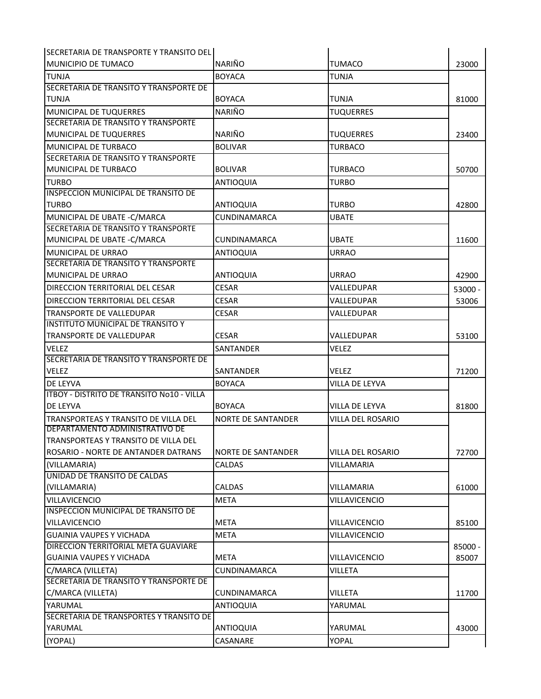| <b>SECRETARIA DE TRANSPORTE Y TRANSITO DEL</b> |                           |                          |         |
|------------------------------------------------|---------------------------|--------------------------|---------|
| IMUNICIPIO DE TUMACO                           | <b>NARIÑO</b>             | <b>TUMACO</b>            | 23000   |
| <b>TUNJA</b>                                   | <b>BOYACA</b>             | <b>TUNJA</b>             |         |
| SECRETARIA DE TRANSITO Y TRANSPORTE DE         |                           |                          |         |
| <b>TUNJA</b>                                   | <b>BOYACA</b>             | <b>TUNJA</b>             | 81000   |
| MUNICIPAL DE TUQUERRES                         | <b>NARIÑO</b>             | <b>TUQUERRES</b>         |         |
| SECRETARIA DE TRANSITO Y TRANSPORTE            |                           |                          |         |
| MUNICIPAL DE TUQUERRES                         | NARIÑO                    | <b>TUQUERRES</b>         | 23400   |
| MUNICIPAL DE TURBACO                           | <b>BOLIVAR</b>            | <b>TURBACO</b>           |         |
| <b>SECRETARIA DE TRANSITO Y TRANSPORTE</b>     |                           |                          |         |
| <b>MUNICIPAL DE TURBACO</b>                    | <b>BOLIVAR</b>            | <b>TURBACO</b>           | 50700   |
| <b>TURBO</b>                                   | <b>ANTIOQUIA</b>          | <b>TURBO</b>             |         |
| <b>INSPECCION MUNICIPAL DE TRANSITO DE</b>     |                           |                          |         |
| <b>TURBO</b>                                   | ANTIOQUIA                 | <b>TURBO</b>             | 42800   |
| MUNICIPAL DE UBATE - C/MARCA                   | <b>CUNDINAMARCA</b>       | <b>UBATE</b>             |         |
| SECRETARIA DE TRANSITO Y TRANSPORTE            |                           |                          |         |
| MUNICIPAL DE UBATE - C/MARCA                   | <b>CUNDINAMARCA</b>       | <b>UBATE</b>             | 11600   |
| MUNICIPAL DE URRAO                             | <b>ANTIOQUIA</b>          | <b>URRAO</b>             |         |
| SECRETARIA DE TRANSITO Y TRANSPORTE            |                           |                          |         |
| <b>MUNICIPAL DE URRAO</b>                      | <b>ANTIOQUIA</b>          | URRAO                    | 42900   |
| <b>DIRECCION TERRITORIAL DEL CESAR</b>         | <b>CESAR</b>              | VALLEDUPAR               | 53000 - |
| DIRECCION TERRITORIAL DEL CESAR                | <b>CESAR</b>              | VALLEDUPAR               | 53006   |
| TRANSPORTE DE VALLEDUPAR                       | <b>CESAR</b>              | VALLEDUPAR               |         |
| <b>INSTITUTO MUNICIPAL DE TRANSITO Y</b>       |                           |                          |         |
| <b>TRANSPORTE DE VALLEDUPAR</b>                | <b>CESAR</b>              | VALLEDUPAR               | 53100   |
| <b>VELEZ</b>                                   | SANTANDER                 | <b>VELEZ</b>             |         |
| SECRETARIA DE TRANSITO Y TRANSPORTE DE         |                           |                          |         |
| <b>VELEZ</b>                                   | SANTANDER                 | VELEZ                    | 71200   |
| <b>DE LEYVA</b>                                | <b>BOYACA</b>             | VILLA DE LEYVA           |         |
| ITBOY - DISTRITO DE TRANSITO No10 - VILLA      |                           |                          |         |
| <b>DE LEYVA</b>                                | <b>BOYACA</b>             | VILLA DE LEYVA           | 81800   |
| TRANSPORTEAS Y TRANSITO DE VILLA DEL           | <b>NORTE DE SANTANDER</b> | <b>VILLA DEL ROSARIO</b> |         |
| DEPARTAMENTO ADMINISTRATIVO DE                 |                           |                          |         |
| <b>TRANSPORTEAS Y TRANSITO DE VILLA DEL</b>    |                           |                          |         |
| ROSARIO - NORTE DE ANTANDER DATRANS            | <b>NORTE DE SANTANDER</b> | VILLA DEL ROSARIO        | 72700   |
| (VILLAMARIA)                                   | CALDAS                    | VILLAMARIA               |         |
| UNIDAD DE TRANSITO DE CALDAS                   |                           |                          |         |
| (VILLAMARIA)                                   | <b>CALDAS</b>             | <b>VILLAMARIA</b>        | 61000   |
| <b>VILLAVICENCIO</b>                           | <b>META</b>               | <b>VILLAVICENCIO</b>     |         |
| INSPECCION MUNICIPAL DE TRANSITO DE            |                           |                          |         |
| <b>VILLAVICENCIO</b>                           | <b>META</b>               | VILLAVICENCIO            | 85100   |
| <b>GUAINIA VAUPES Y VICHADA</b>                | <b>META</b>               | VILLAVICENCIO            |         |
| DIRECCION TERRITORIAL META GUAVIARE            |                           |                          | 85000 - |
| <b>GUAINIA VAUPES Y VICHADA</b>                | <b>META</b>               | VILLAVICENCIO            | 85007   |
| C/MARCA (VILLETA)                              | CUNDINAMARCA              | VILLETA                  |         |
| SECRETARIA DE TRANSITO Y TRANSPORTE DE         |                           |                          |         |
| C/MARCA (VILLETA)                              | <b>CUNDINAMARCA</b>       | <b>VILLETA</b>           | 11700   |
| YARUMAL                                        | <b>ANTIOQUIA</b>          | YARUMAL                  |         |
| SECRETARIA DE TRANSPORTES Y TRANSITO DE        |                           |                          |         |
| YARUMAL                                        | <b>ANTIOQUIA</b>          | YARUMAL                  | 43000   |
| (YOPAL)                                        | CASANARE                  | YOPAL                    |         |